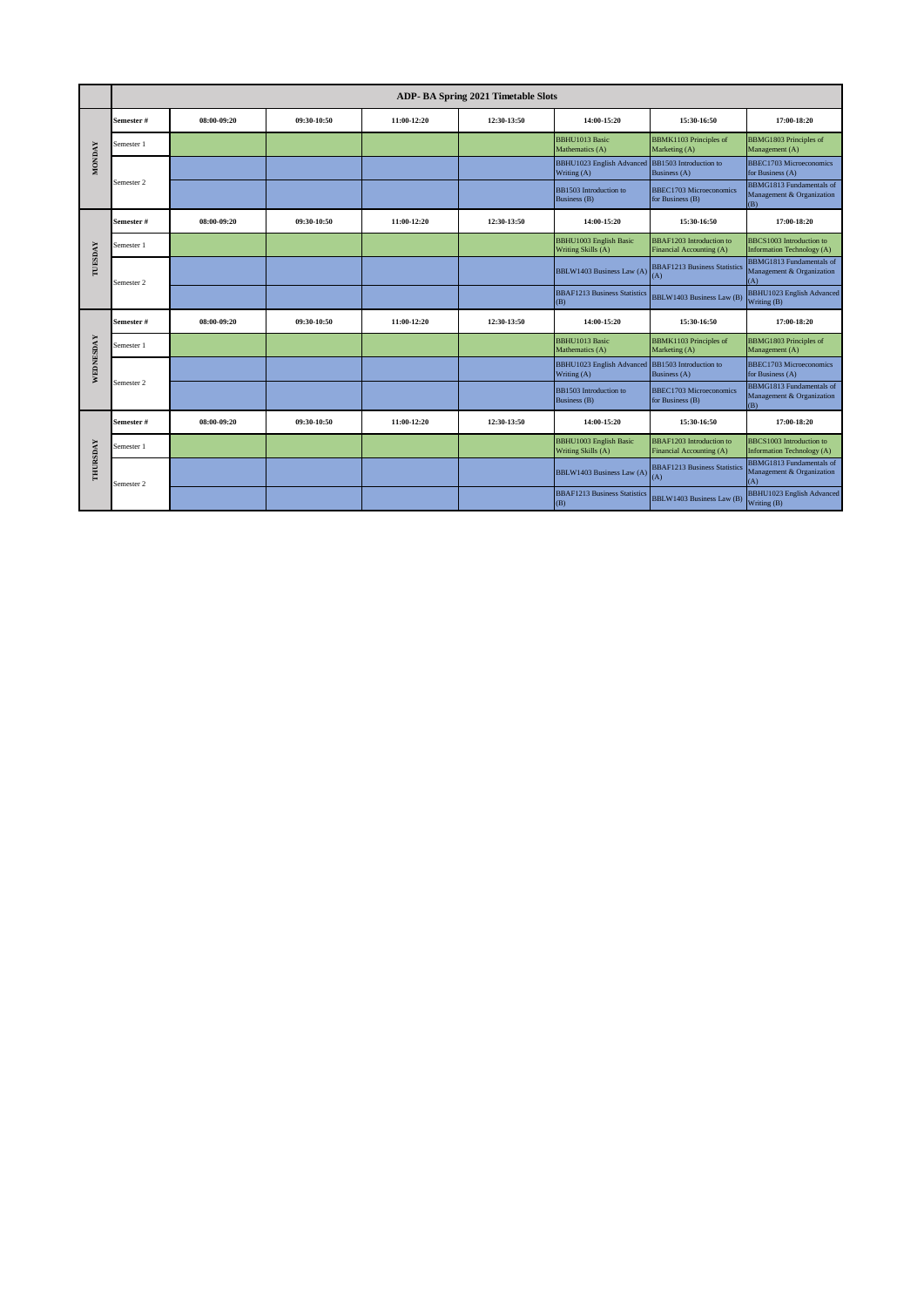|               |                       |             |             |             | ADP- BA Spring 2021 Timetable Slots |                                                     |                                                             |                                                                     |
|---------------|-----------------------|-------------|-------------|-------------|-------------------------------------|-----------------------------------------------------|-------------------------------------------------------------|---------------------------------------------------------------------|
|               | Semester #            | 08:00-09:20 | 09:30-10:50 | 11:00-12:20 | 12:30-13:50                         | 14:00-15:20                                         | 15:30-16:50                                                 | 17:00-18:20                                                         |
|               | Semester 1            |             |             |             |                                     | <b>BBHU1013 Basic</b><br>Mathematics (A)            | <b>BBMK1103</b> Principles of<br>Marketing (A)              | <b>BBMG1803</b> Principles of<br>Management (A)                     |
| <b>MONDAY</b> |                       |             |             |             |                                     | <b>BBHU1023</b> English Advanced<br>Writing (A)     | BB1503 Introduction to<br>Business (A)                      | <b>BBEC1703 Microeconomics</b><br>for Business (A)                  |
|               | Semester <sub>2</sub> |             |             |             |                                     | BB1503 Introduction to<br>Business (B)              | BBEC1703 Microeconomics<br>for Business (B)                 | BBMG1813 Fundamentals of<br>Management & Organization<br>(B)        |
|               | Semester #            | 08:00-09:20 | 09:30-10:50 | 11:00-12:20 | 12:30-13:50                         | 14:00-15:20                                         | 15:30-16:50                                                 | 17:00-18:20                                                         |
|               | Semester 1            |             |             |             |                                     | <b>BBHU1003</b> English Basic<br>Writing Skills (A) | BBAF1203 Introduction to<br>Financial Accounting (A)        | BBCS1003 Introduction to<br>Information Technology (A)              |
| TUESDAY       | Semester 2            |             |             |             |                                     | BBLW1403 Business Law (A)                           | <b>BBAF1213 Business Statistics</b><br>(A)                  | BBMG1813 Fundamentals of<br>Management & Organization<br>(A)        |
|               |                       |             |             |             |                                     | <b>BBAF1213 Business Statistics</b><br>(B)          | <b>BBLW1403 Business Law (B)</b>                            | <b>BBHU1023 English Advanced</b><br>Writing (B)                     |
|               | Semester #            | 08:00-09:20 | 09:30-10:50 | 11:00-12:20 | 12:30-13:50                         | 14:00-15:20                                         | 15:30-16:50                                                 | 17:00-18:20                                                         |
|               | Semester 1            |             |             |             |                                     | <b>BBHU1013 Basic</b><br>Mathematics (A)            | <b>BBMK1103</b> Principles of<br>Marketing (A)              | BBMG1803 Principles of<br>Management (A)                            |
| WEDNESDAY     |                       |             |             |             |                                     | <b>BBHU1023 English Advanced</b><br>Writing (A)     | BB1503 Introduction to<br>Business (A)                      | <b>BBEC1703 Microeconomics</b><br>for Business (A)                  |
|               | Semester 2            |             |             |             |                                     | BB1503 Introduction to<br>Business (B)              | BBEC1703 Microeconomics<br>for Business (B)                 | <b>BBMG1813</b> Fundamentals of<br>Management & Organization<br>(B) |
|               | Semester #            | 08:00-09:20 | 09:30-10:50 | 11:00-12:20 | 12:30-13:50                         | 14:00-15:20                                         | 15:30-16:50                                                 | 17:00-18:20                                                         |
|               | Semester 1            |             |             |             |                                     | <b>BBHU1003</b> English Basic<br>Writing Skills (A) | <b>BBAF1203</b> Introduction to<br>Financial Accounting (A) | BBCS1003 Introduction to<br><b>Information Technology (A)</b>       |
| THURSDAY      | Semester 2            |             |             |             |                                     | <b>BBLW1403 Business Law (A)</b>                    | <b>BBAF1213 Business Statistics</b><br>(A)                  | <b>BBMG1813</b> Fundamentals of<br>Management & Organization<br>(A) |
|               |                       |             |             |             |                                     | <b>BBAF1213 Business Statistics</b><br>(B)          | <b>BBLW1403 Business Law (B)</b>                            | <b>BBHU1023 English Advanced</b><br>Writing (B)                     |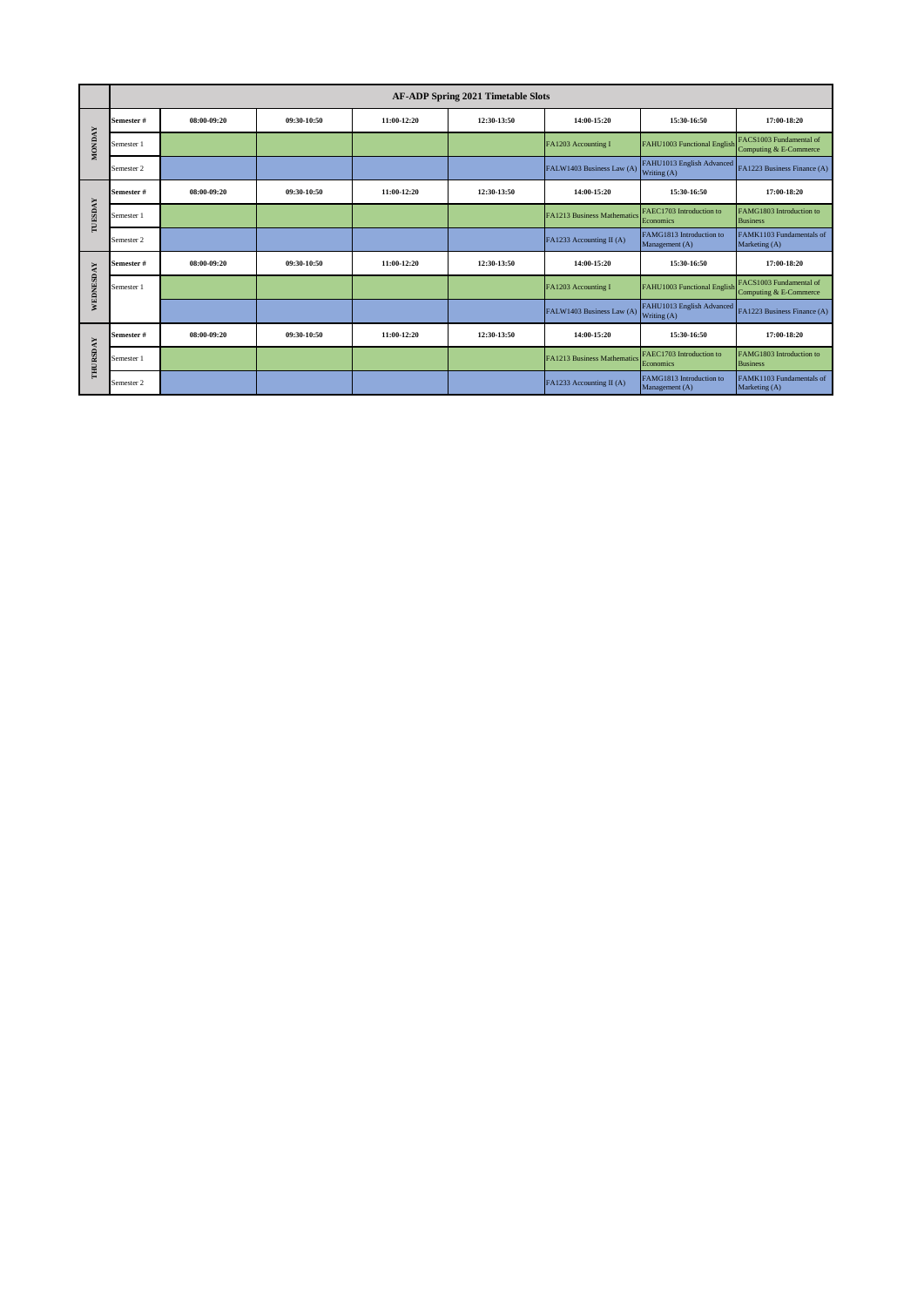|               |            |             |             |             | <b>AF-ADP Spring 2021 Timetable Slots</b> |                             |                                            |                                                   |
|---------------|------------|-------------|-------------|-------------|-------------------------------------------|-----------------------------|--------------------------------------------|---------------------------------------------------|
|               | Semester # | 08:00-09:20 | 09:30-10:50 | 11:00-12:20 | 12:30-13:50                               | 14:00-15:20                 | 15:30-16:50                                | 17:00-18:20                                       |
| <b>MONDAY</b> | Semester 1 |             |             |             |                                           | FA1203 Accounting I         | FAHU1003 Functional English                | FACS1003 Fundamental of<br>Computing & E-Commerce |
|               | Semester 2 |             |             |             |                                           | FALW1403 Business Law (A)   | FAHU1013 English Advanced<br>Writing (A)   | FA1223 Business Finance (A)                       |
|               | Semester # | 08:00-09:20 | 09:30-10:50 | 11:00-12:20 | 12:30-13:50                               | 14:00-15:20                 | 15:30-16:50                                | 17:00-18:20                                       |
| TUESDAY       | Semester 1 |             |             |             |                                           | FA1213 Business Mathematics | FAEC1703 Introduction to<br>Economics      | FAMG1803 Introduction to<br><b>Business</b>       |
|               | Semester 2 |             |             |             |                                           | FA1233 Accounting II (A)    | FAMG1813 Introduction to<br>Management (A) | FAMK1103 Fundamentals of<br>Marketing (A)         |
|               | Semester # | 08:00-09:20 | 09:30-10:50 | 11:00-12:20 | 12:30-13:50                               | 14:00-15:20                 | 15:30-16:50                                | 17:00-18:20                                       |
| WEDNESDAY     | Semester 1 |             |             |             |                                           | FA1203 Accounting I         | FAHU1003 Functional English                | FACS1003 Fundamental of<br>Computing & E-Commerce |
|               |            |             |             |             |                                           | FALW1403 Business Law (A)   | FAHU1013 English Advanced<br>Writing (A)   | FA1223 Business Finance (A)                       |
|               | Semester # | 08:00-09:20 | 09:30-10:50 | 11:00-12:20 | 12:30-13:50                               | 14:00-15:20                 | 15:30-16:50                                | 17:00-18:20                                       |
| THURSDAY      | Semester 1 |             |             |             |                                           | FA1213 Business Mathematics | FAEC1703 Introduction to<br>Economics      | FAMG1803 Introduction to<br><b>Business</b>       |
|               | Semester 2 |             |             |             |                                           | FA1233 Accounting II (A)    | FAMG1813 Introduction to<br>Management (A) | FAMK1103 Fundamentals of<br>Marketing (A)         |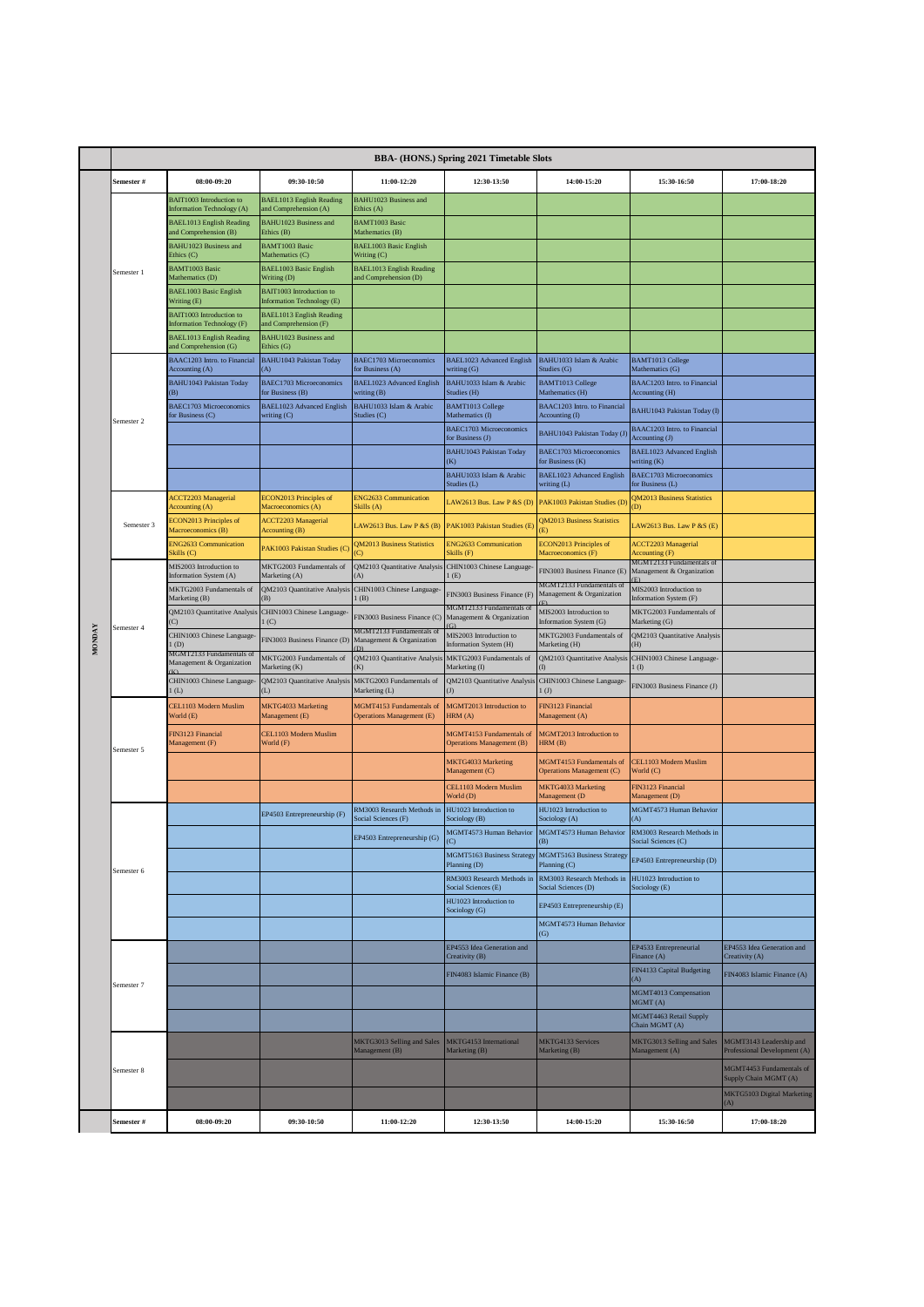|            | <b>BBA- (HONS.) Spring 2021 Timetable Slots</b>       |                                                              |                                                               |                                                          |                                                       |                                                       |                                                       |                                                         |  |  |
|------------|-------------------------------------------------------|--------------------------------------------------------------|---------------------------------------------------------------|----------------------------------------------------------|-------------------------------------------------------|-------------------------------------------------------|-------------------------------------------------------|---------------------------------------------------------|--|--|
|            | Semester #                                            | 08:00-09:20                                                  | 09:30-10:50                                                   | 11:00-12:20                                              | 12:30-13:50                                           | 14:00-15:20                                           | 15:30-16:50                                           | 17:00-18:20                                             |  |  |
|            |                                                       | BAIT1003 Introduction to<br>Information Technology (A)       | <b>BAEL1013 English Reading</b><br>and Comprehension (A)      | BAHU1023 Business and<br>Ethics (A)                      |                                                       |                                                       |                                                       |                                                         |  |  |
|            |                                                       | <b>BAEL1013 English Reading</b><br>und Comprehension (B)     | <b>BAHU1023 Business and</b><br>Ethics (B)                    | <b>BAMT1003 Basic</b><br>Mathematics (B)                 |                                                       |                                                       |                                                       |                                                         |  |  |
|            |                                                       | <b>BAHU1023 Business and</b><br>Ethics (C)                   | <b>BAMT1003 Basic</b><br>Mathematics (C)                      | <b>BAEL1003 Basic English</b><br>Writing (C)             |                                                       |                                                       |                                                       |                                                         |  |  |
|            | Semester 1                                            | <b>BAMT1003 Basic</b><br>Mathematics (D)                     | <b>BAEL1003 Basic English</b><br>Writing (D)                  | <b>BAEL1013 English Reading</b><br>and Comprehension (D) |                                                       |                                                       |                                                       |                                                         |  |  |
|            |                                                       | <b>BAEL1003 Basic English</b><br>Writing (E)                 | <b>BAIT1003</b> Introduction to<br>Information Technology (E) |                                                          |                                                       |                                                       |                                                       |                                                         |  |  |
|            |                                                       | <b>BAIT1003</b> Introduction to<br>nformation Technology (F) | <b>BAEL1013 English Reading</b><br>and Comprehension (F)      |                                                          |                                                       |                                                       |                                                       |                                                         |  |  |
|            |                                                       | <b>BAEL1013 English Reading</b><br>und Comprehension (G)     | <b>BAHU1023 Business and</b><br>Ethics (G)                    |                                                          |                                                       |                                                       |                                                       |                                                         |  |  |
|            |                                                       | BAAC1203 Intro. to Financial<br>Accounting (A)               | <b>BAHU1043 Pakistan Today</b><br>A)                          | BAEC1703 Microeconomics<br>for Business (A)              | BAEL1023 Advanced English<br>writing (G)              | BAHU1033 Islam & Arabic<br>Studies (G)                | <b>BAMT1013 College</b><br>Mathematics (G)            |                                                         |  |  |
|            |                                                       | <b>BAHU1043 Pakistan Today</b><br>(B)                        | <b>BAEC1703 Microeconomics</b><br>for Business (B)            | BAEL1023 Advanced English<br>writing (B)                 | BAHU1033 Islam & Arabic<br>Studies (H)                | <b>BAMT1013 College</b><br>Mathematics (H)            | BAAC1203 Intro. to Financial<br>Accounting (H)        |                                                         |  |  |
|            | Semester <sub>2</sub>                                 | <b>BAEC1703 Microeconomics</b><br>or Business (C)            | BAEL1023 Advanced English<br>writing (C)                      | BAHU1033 Islam & Arabic<br>Studies (C)                   | <b>BAMT1013 College</b><br>Mathematics (I)            | BAAC1203 Intro. to Financial<br>Accounting (I)        | BAHU1043 Pakistan Today (I)                           |                                                         |  |  |
|            |                                                       |                                                              |                                                               |                                                          | BAEC1703 Microeconomics<br>for Business (J)           | BAHU1043 Pakistan Today (J                            | BAAC1203 Intro. to Financial<br>Accounting (J)        |                                                         |  |  |
|            |                                                       |                                                              |                                                               |                                                          | <b>BAHU1043 Pakistan Today</b><br><b>K</b> )          | <b>BAEC1703 Microeconomics</b><br>for Business (K)    | <b>BAEL1023</b> Advanced English<br>writing (K)       |                                                         |  |  |
|            |                                                       |                                                              |                                                               |                                                          | BAHU1033 Islam & Arabic<br>Studies (L)                | <b>BAEL1023 Advanced English</b><br>writing (L)       | <b>BAEC1703 Microeconomics</b><br>for Business (L)    |                                                         |  |  |
|            | Semester 3                                            | <b>ACCT2203 Managerial</b><br>Accounting (A)                 | ECON2013 Principles of<br>Macroeconomics (A)                  | <b>ENG2633 Communication</b><br>Skills (A)               | LAW2613 Bus. Law P & S (D)                            | PAK1003 Pakistan Studies (D                           | <b>QM2013 Business Statistics</b><br>(D)              |                                                         |  |  |
|            |                                                       | ECON2013 Principles of<br>Macroeconomics (B)                 | <b>ACCT2203 Managerial</b><br>Accounting (B)                  | LAW2613 Bus. Law P & S $(B)$                             | PAK1003 Pakistan Studies (E)                          | <b>QM2013 Business Statistics</b>                     | LAW2613 Bus. Law P &S (E)                             |                                                         |  |  |
|            |                                                       | <b>ENG2633 Communication</b><br>Skills (C)                   | PAK1003 Pakistan Studies (C                                   | <b>QM2013 Business Statistics</b><br>$\circ$             | <b>ENG2633 Communication</b><br>Skills (F)            | ECON2013 Principles of<br>Macroeconomics (F)          | <b>ACCT2203 Managerial</b><br>Accounting (F)          |                                                         |  |  |
|            |                                                       | MIS2003 Introduction to<br>Information System (A)            | MKTG2003 Fundamentals of<br>Marketing (A)                     | QM2103 Quantitative Analysis<br>(A)                      | CHIN1003 Chinese Language<br>(E)                      | FIN3003 Business Finance (E)                          | MGMT2133 Fundamentals of<br>Management & Organization |                                                         |  |  |
|            |                                                       | MKTG2003 Fundamentals of<br>Marketing (B)                    | QM2103 Quantitative Analysis<br>(B)                           | CHIN1003 Chinese Language-<br>l(B)                       | FIN3003 Business Finance (F)                          | MGMT2133 Fundamentals of<br>Management & Organization | MIS2003 Introduction to<br>Information System (F)     |                                                         |  |  |
|            |                                                       | QM2103 Quantitative Analysis                                 | CHIN1003 Chinese Language<br>1 (C)                            | FIN3003 Business Finance (C)                             | AGMT2133 Fundamentals of<br>Management & Organization | MIS2003 Introduction to<br>Information System (G)     | MKTG2003 Fundamentals of<br>Marketing (G)             |                                                         |  |  |
| Semester 4 | CHIN1003 Chinese Language-<br>1(D)                    | FIN3003 Business Finance (D)                                 | MGMT2133 Fundamentals of<br>Management & Organization         | MIS2003 Introduction to<br>Information System (H)        | MKTG2003 Fundamentals of<br>Marketing (H)             | QM2103 Quantitative Analysis<br>(H)                   |                                                       |                                                         |  |  |
|            | MGMT2133 Fundamentals of<br>Management & Organization | MKTG2003 Fundamentals of<br>Marketing (K)                    | QM2103 Quantitative Analysis<br>(K)                           | MKTG2003 Fundamentals of<br>Marketing (I)                | QM2103 Quantitative Analysis                          | CHIN1003 Chinese Language-<br>$1$ (I)                 |                                                       |                                                         |  |  |
|            | CHIN1003 Chinese Language-<br>(L)                     | QM2103 Quantitative Analysis<br>(L)                          | MKTG2003 Fundamentals of                                      | QM2103 Quantitative Analysis<br>$($ $J)$                 | CHIN1003 Chinese Language-<br>1 <sub>(J)</sub>        | FIN3003 Business Finance (J)                          |                                                       |                                                         |  |  |
|            |                                                       | CEL1103 Modern Muslim                                        | <b>MKTG4033 Marketing</b>                                     | Marketing (L)<br>MGMT4153 Fundamentals of                | MGMT2013 Introduction to                              | FIN3123 Financial                                     |                                                       |                                                         |  |  |
|            |                                                       | World (E)<br>FIN3123 Financial                               | Management (E)<br>CEL1103 Modern Muslim                       | <b>Operations Management (E)</b>                         | HRM (A)<br><b>MGMT4153 Fundamentals of</b>            | Management (A)<br>MGMT2013 Introduction to            |                                                       |                                                         |  |  |
|            | Semester 5                                            | Management (F)                                               | World (F)                                                     |                                                          | <b>Operations Management (B)</b>                      | HRM(B)                                                |                                                       |                                                         |  |  |
|            |                                                       |                                                              |                                                               |                                                          | <b>MKTG4033 Marketing</b><br>Management (C)           | MGMT4153 Fundamentals of<br>Operations Management (C) | CEL1103 Modern Muslim<br>World (C)                    |                                                         |  |  |
|            |                                                       |                                                              |                                                               |                                                          | CEL1103 Modern Muslim<br>World (D)                    | MKTG4033 Marketing<br>Management (D                   | FIN3123 Financial<br>Management (D)                   |                                                         |  |  |
|            |                                                       |                                                              | EP4503 Entrepreneurship (F)                                   | RM3003 Research Methods in<br>Social Sciences (F)        | HU1023 Introduction to<br>Sociology (B)               | HU1023 Introduction to<br>Sociology (A)               | MGMT4573 Human Behavior<br>(A)                        |                                                         |  |  |
|            |                                                       |                                                              |                                                               | EP4503 Entrepreneursnip (G)                              | MGMT4573 Human Behavior<br>(C)                        | MGMT4573 Human Behavior<br>(B)                        | RM3003 Research Methods in<br>Social Sciences (C)     |                                                         |  |  |
|            | Semester 6                                            |                                                              |                                                               |                                                          | MGMT5163 Business Strategy<br>Planning (D)            | <b>MGMT5163 Business Strategy</b><br>Planning (C)     | EP4503 Entrepreneurship (D)                           |                                                         |  |  |
|            |                                                       |                                                              |                                                               |                                                          | RM3003 Research Methods in<br>Social Sciences (E)     | RM3003 Research Methods in<br>Social Sciences (D)     | HU1023 Introduction to<br>Sociology (E)               |                                                         |  |  |
|            |                                                       |                                                              |                                                               |                                                          | HU1023 Introduction to<br>Sociology (G)               | EP4503 Entrepreneurship (E)                           |                                                       |                                                         |  |  |
|            |                                                       |                                                              |                                                               |                                                          |                                                       | MGMT4573 Human Behavior<br>(G)                        |                                                       |                                                         |  |  |
|            |                                                       |                                                              |                                                               |                                                          | EP4553 Idea Generation and<br>Creativity (B)          |                                                       | EP4533 Entrepreneurial<br>Finance (A)                 | EP4553 Idea Generation and<br>Creativity (A)            |  |  |
|            | Semester 7                                            |                                                              |                                                               |                                                          | FIN4083 Islamic Finance (B)                           |                                                       | FIN4133 Capital Budgeting<br>(A)                      | FIN4083 Islamic Finance (A)                             |  |  |
|            |                                                       |                                                              |                                                               |                                                          |                                                       |                                                       | MGMT4013 Compensation<br>MGMT(A)                      |                                                         |  |  |
|            |                                                       |                                                              |                                                               |                                                          |                                                       |                                                       | MGMT4463 Retail Supply<br>Chain MGMT (A)              |                                                         |  |  |
|            |                                                       |                                                              |                                                               | MKTG3013 Selling and Sales<br>Management (B)             | MKTG4153 International<br>Marketing (B)               | MKTG4133 Services<br>Marketing (B)                    | MKTG3013 Selling and Sales<br>Management (A)          | MGMT3143 Leadership and<br>Professional Development (A) |  |  |
|            | Semester 8                                            |                                                              |                                                               |                                                          |                                                       |                                                       |                                                       | MGMT4453 Fundamentals of<br>Supply Chain MGMT (A)       |  |  |
|            |                                                       |                                                              |                                                               |                                                          |                                                       |                                                       |                                                       | MKTG5103 Digital Marketing<br>(A)                       |  |  |
|            | Semester #                                            | 08:00-09:20                                                  | 09:30-10:50                                                   | 11:00-12:20                                              | 12:30-13:50                                           | 14:00-15:20                                           | 15:30-16:50                                           | 17:00-18:20                                             |  |  |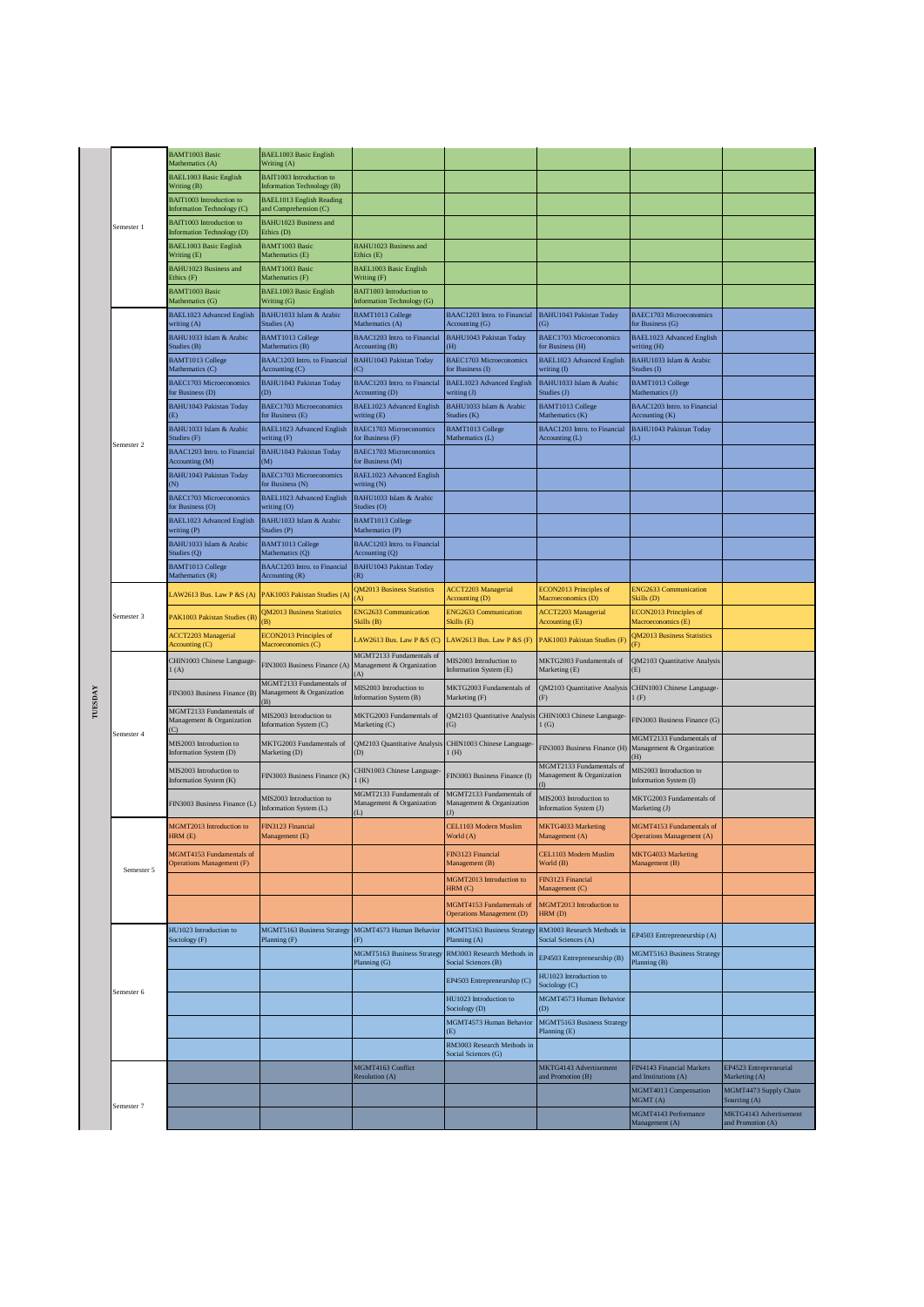|         |                       | <b>BAMT1003 Basic</b><br>Mathematics (A)                      | <b>BAEL1003 Basic English</b><br>Writing (A)                       |                                                                       |                                                                |                                                       |                                                              |                                             |
|---------|-----------------------|---------------------------------------------------------------|--------------------------------------------------------------------|-----------------------------------------------------------------------|----------------------------------------------------------------|-------------------------------------------------------|--------------------------------------------------------------|---------------------------------------------|
|         |                       | <b>BAEL1003 Basic English</b><br>Writing (B)                  | BAIT1003 Introduction to<br>Information Technology (B)             |                                                                       |                                                                |                                                       |                                                              |                                             |
|         |                       | <b>BAIT1003</b> Introduction to<br>Information Technology (C) | BAEL1013 English Reading<br>and Comprehension (C)                  |                                                                       |                                                                |                                                       |                                                              |                                             |
|         | Semester 1            | <b>BAIT1003</b> Introduction to<br>Information Technology (D) | BAHU1023 Business and<br>Ethics (D)                                |                                                                       |                                                                |                                                       |                                                              |                                             |
|         |                       | <b>BAEL1003 Basic English</b><br>Writing (E)                  | <b>BAMT1003 Basic</b><br>Mathematics (E)                           | <b>BAHU1023 Business and</b><br>Ethics (E)                            |                                                                |                                                       |                                                              |                                             |
|         |                       | <b>BAHU1023 Business and</b>                                  | <b>BAMT1003 Basic</b>                                              | BAEL1003 Basic English                                                |                                                                |                                                       |                                                              |                                             |
|         |                       | Ethics (F)<br><b>BAMT1003 Basic</b><br>Mathematics (G)        | Mathematics (F)<br><b>BAEL1003 Basic English</b><br>Writing (G)    | Writing (F)<br>BAIT1003 Introduction to<br>Information Technology (G) |                                                                |                                                       |                                                              |                                             |
|         |                       | BAEL1023 Advanced English                                     | BAHU1033 Islam & Arabic<br>Studies (A)                             | BAMT1013 College                                                      | BAAC1203 Intro. to Financial                                   | <b>BAHU1043 Pakistan Today</b>                        | BAEC1703 Microeconomics                                      |                                             |
|         |                       | writing (A)<br>BAHU1033 Islam & Arabic<br>Studies (B)         | BAMT1013 College<br>Mathematics (B)                                | Mathematics (A)<br>BAAC1203 Intro. to Financial                       | Accounting (G)<br><b>BAHU1043 Pakistan Today</b><br>(H)        | (G)<br>BAEC1703 Microeconomics<br>for Business (H)    | for Business (G)<br><b>BAEL1023 Advanced English</b>         |                                             |
|         |                       | <b>BAMT1013 College</b><br>Mathematics (C)                    | BAAC1203 Intro. to Financial                                       | Accounting (B)<br>BAHU1043 Pakistan Today<br>(C)                      | <b>BAEC1703 Microeconomics</b><br>for Business (I)             | <b>BAEL1023</b> Advanced English                      | writing (H)<br>BAHU1033 Islam & Arabic<br>Studies (I)        |                                             |
|         |                       | <b>BAEC1703 Microeconomics</b>                                | Accounting (C)<br>BAHU1043 Pakistan Today<br>(D)                   | BAAC1203 Intro. to Financial                                          | <b>BAEL1023</b> Advanced English                               | writing (I)<br>BAHU1033 Islam & Arabic                | <b>BAMT1013 College</b>                                      |                                             |
|         |                       | for Business (D)<br><b>BAHU1043 Pakistan Today</b>            | BAEC1703 Microeconomics                                            | Accounting (D)<br>BAEL1023 Advanced English                           | writing (J)<br>BAHU1033 Islam & Arabic                         | Studies (J)<br><b>BAMT1013 College</b>                | Mathematics (J)<br>BAAC1203 Intro. to Financial              |                                             |
|         |                       | (E)<br>BAHU1033 Islam & Arabic                                | for Business (E)<br>BAEL1023 Advanced English                      | writing (E)<br>BAEC1703 Microeconomics                                | Studies (K)<br><b>BAMT1013 College</b>                         | Mathematics (K)<br>BAAC1203 Intro. to Financial       | Accounting (K)<br><b>BAHU1043 Pakistan Today</b>             |                                             |
|         | Semester <sub>2</sub> | Studies (F)<br>BAAC1203 Intro. to Financial                   | writing (F)<br>BAHU1043 Pakistan Today                             | for Business (F)<br><b>BAEC1703 Microeconomics</b>                    | Mathematics (L)                                                | Accounting (L)                                        |                                                              |                                             |
|         |                       | Accounting (M)<br>BAHU1043 Pakistan Today                     | (M)<br>BAEC1703 Microeconomics                                     | for Business (M)<br>BAEL1023 Advanced English                         |                                                                |                                                       |                                                              |                                             |
|         |                       | N)<br><b>BAEC1703 Microeconomics</b>                          | for Business (N)<br>BAEL1023 Advanced English                      | writing (N)<br>BAHU1033 Islam & Arabic                                |                                                                |                                                       |                                                              |                                             |
|         |                       | for Business (O)<br>BAEL1023 Advanced English                 | writing (O)<br>BAHU1033 Islam & Arabic                             | Studies (O)<br><b>BAMT1013 College</b><br>Mathematics (P)             |                                                                |                                                       |                                                              |                                             |
|         |                       | writing (P)<br>BAHU1033 Islam & Arabic                        | Studies (P)<br><b>BAMT1013 College</b>                             | BAAC1203 Intro. to Financial                                          |                                                                |                                                       |                                                              |                                             |
|         |                       | Studies (Q)<br><b>BAMT1013 College</b>                        | Mathematics (Q)<br>BAAC1203 Intro. to Financial                    | Accounting (Q)<br>BAHU1043 Pakistan Today                             |                                                                |                                                       |                                                              |                                             |
|         |                       | Mathematics (R)<br>LAW2613 Bus. Law P &S (A)                  | Accounting (R)<br>PAK1003 Pakistan Studies (A)                     | (R)<br><b>QM2013 Business Statistics</b>                              | <b>ACCT2203 Managerial</b>                                     | ECON2013 Principles of                                | <b>ENG2633 Communication</b>                                 |                                             |
|         | Semester 3            | PAK1003 Pakistan Studies (B)                                  | <b>2M2013 Business Statistics</b>                                  | (A)<br><b>ENG2633 Communication</b><br>Skills (B)                     | Accounting (D)<br><b>ENG2633 Communication</b>                 | Macroeconomics (D)<br><b>ACCT2203 Managerial</b>      | Skills (D)<br>ECON2013 Principles of                         |                                             |
|         |                       | <b>ACCT2203 Managerial</b>                                    | B)<br>ECON2013 Principles of                                       | LAW2613 Bus. Law P & S $(C)$                                          | Skills (E)<br>LAW2613 Bus. Law P &S (F)                        | Accounting (E)<br>PAK1003 Pakistan Studies (F)        | Macroeconomics (E)<br>QM2013 Business Statistics             |                                             |
|         |                       | Accounting (C)<br>CHIN1003 Chinese Language-                  | Macroeconomics (C)<br>FIN3003 Business Finance (A)                 | MGMT2133 Fundamentals of<br>Management & Organization                 | MIS2003 Introduction to                                        | MKTG2003 Fundamentals of                              | QM2103 Quantitative Analysis                                 |                                             |
|         |                       | (A)                                                           | MGMT2133 Fundamentals of                                           | (A)<br>MIS2003 Introduction to                                        | Information System (E)<br>MKTG2003 Fundamentals of             | Marketing (E)<br>QM2103 Quantitative Analysis         | CHIN1003 Chinese Language-                                   |                                             |
| TUESDAY |                       | FIN3003 Business Finance (B)<br>MGMT2133 Fundamentals of      | Management & Organization<br>(B)                                   | Information System (B)                                                | Marketing (F)                                                  | (F)                                                   | 1(F)                                                         |                                             |
|         | Semester 4            | Management & Organization<br>$\mathcal{C}$                    | MIS2003 Introduction to<br>Information System (C)                  | MKTG2003 Fundamentals of<br>Marketing (C)                             | QM2103 Quantitative Analysis CHIN1003 Chinese Language-<br>(G) | (G)                                                   | FIN3003 Business Finance (G)                                 |                                             |
|         |                       | MIS2003 Introduction to<br>Information System (D)             | MKTG2003 Fundamentals of<br>Marketing (D)                          | QM2103 Quantitative Analysis<br>(D)                                   | CHIN1003 Chinese Language-<br>1(H)                             | FIN3003 Business Finance (H)                          | MGMT2133 Fundamentals of<br>Management & Organization<br>H)  |                                             |
|         |                       | MIS2003 Introduction to<br>Information System (K)             | FIN3003 Business Finance (K)                                       | CHIN1003 Chinese Language<br>1(K)                                     | FIN3003 Business Finance (I)                                   | MGMT2133 Fundamentals of<br>Management & Organization | MIS2003 Introduction to<br>Information System (I)            |                                             |
|         |                       | FIN3003 Business Finance (L)                                  | MIS2003 Introduction to<br>Information System (L)                  | MGMT2133 Fundamentals of<br>Management & Organization<br>(L)          | MGMT2133 Fundamentals of<br>Management & Organization          | MIS2003 Introduction to<br>Information System (J)     | MKTG2003 Fundamentals of<br>Marketing (J)                    |                                             |
|         |                       | MGMT2013 Introduction to<br>HRM (E)                           | FIN3123 Financial<br>Management (E)                                |                                                                       | CEL1103 Modern Muslim<br>World (A)                             | MKTG4033 Marketing<br>Management (A)                  | MGMT4153 Fundamentals of<br><b>Operations Management (A)</b> |                                             |
|         | Semester 5            | MGMT4153 Fundamentals of<br>Operations Management (F)         |                                                                    |                                                                       | FIN3123 Financial<br>Management (B)                            | CEL1103 Modern Muslim<br>World (B)                    | MKTG4033 Marketing<br>Management (B)                         |                                             |
|         |                       |                                                               |                                                                    |                                                                       | MGMT2013 Introduction to<br>HRM(C)                             | FIN3123 Financial<br>Management (C)                   |                                                              |                                             |
|         |                       |                                                               |                                                                    |                                                                       | MGMT4153 Fundamentals of<br><b>Operations Management (D)</b>   | MGMT2013 Introduction to<br>HRM (D)                   |                                                              |                                             |
|         |                       | HU1023 Introduction to<br>Sociology (F)                       | MGMT5163 Business Strategy MGMT4573 Human Behavior<br>Planning (F) | (F)                                                                   | MGMT5163 Business Strategy<br>Planning (A)                     | RM3003 Research Methods in<br>Social Sciences (A)     | EP4503 Entrepreneurship (A)                                  |                                             |
|         |                       |                                                               |                                                                    | <b>MGMT5163 Business Strategy</b><br>Planning (G)                     | RM3003 Research Methods in<br>Social Sciences (B)              | EP4503 Entrepreneurship (B)                           | MGMT5163 Business Strategy<br>Planning (B)                   |                                             |
|         |                       |                                                               |                                                                    |                                                                       | EP4503 Entrepreneurship (C)                                    | HU1023 Introduction to<br>Sociology (C)               |                                                              |                                             |
|         | Semester 6            |                                                               |                                                                    |                                                                       | HU1023 Introduction to<br>Sociology (D)                        | MGMT4573 Human Behavior<br>(D)                        |                                                              |                                             |
|         |                       |                                                               |                                                                    |                                                                       | MGMT4573 Human Behavior<br>(E)                                 | MGMT5163 Business Strategy<br>Planning (E)            |                                                              |                                             |
|         |                       |                                                               |                                                                    |                                                                       | RM3003 Research Methods in<br>Social Sciences (G)              |                                                       |                                                              |                                             |
|         |                       |                                                               |                                                                    | MGMT4163 Conflict<br>Resolution (A)                                   |                                                                | MKTG4143 Advertisement<br>and Promotion (B)           | FIN4143 Financial Markets<br>and Institutions (A)            | EP4523 Entrepreneurial<br>Marketing (A)     |
|         | Semester 7            |                                                               |                                                                    |                                                                       |                                                                |                                                       | MGMT4013 Compensation<br>MGMT(A)                             | MGMT4473 Supply Chain<br>Sourcing (A)       |
|         |                       |                                                               |                                                                    |                                                                       |                                                                |                                                       | MGMT4143 Performance<br>Management (A)                       | MKTG4143 Advertisement<br>and Promotion (A) |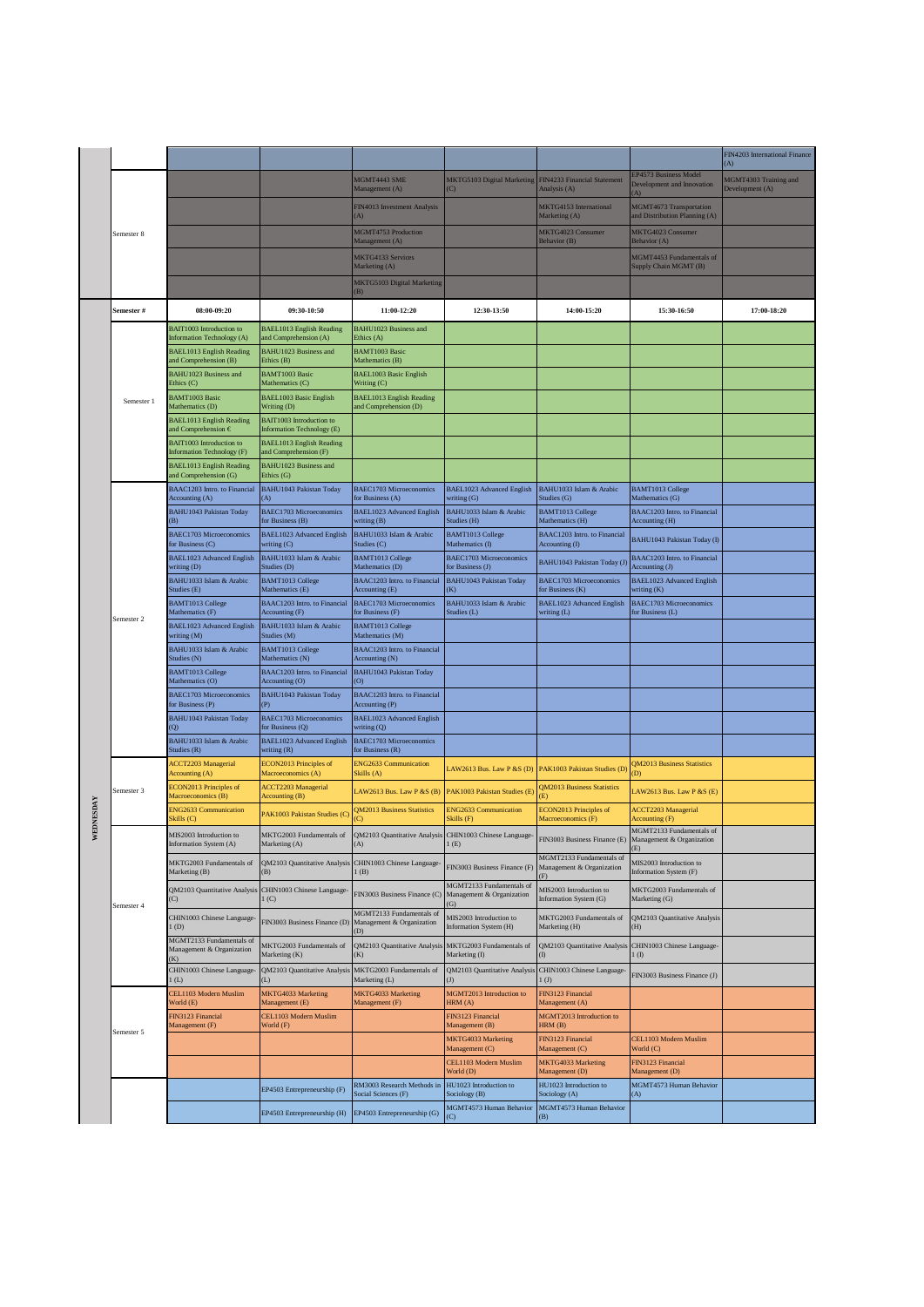|  |            |                                                                 |                                                               |                                                                |                                                             |                                                             |                                                              | FIN4203 International Finance            |
|--|------------|-----------------------------------------------------------------|---------------------------------------------------------------|----------------------------------------------------------------|-------------------------------------------------------------|-------------------------------------------------------------|--------------------------------------------------------------|------------------------------------------|
|  |            |                                                                 |                                                               |                                                                |                                                             |                                                             |                                                              | (A)                                      |
|  |            |                                                                 |                                                               | MGMT4443 SME<br>Management (A)                                 | MKTG5103 Digital Marketing<br>$\left( \text{C} \right)$     | FIN4233 Financial Statement<br>Analysis (A)                 | EP4573 Business Model<br>Development and Innovation<br>(A)   | MGMT4303 Training and<br>Development (A) |
|  |            |                                                                 |                                                               | FIN4013 Investment Analysis<br>(A)                             |                                                             | MKTG4153 International<br>Marketing (A)                     | MGMT4673 Transportation<br>and Distribution Planning (A)     |                                          |
|  | Semester 8 |                                                                 |                                                               | MGMT4753 Production<br>Management (A)                          |                                                             | <b>MKTG4023 Consumer</b><br>Behavior (B)                    | MKTG4023 Consumer<br>Behavior (A)                            |                                          |
|  |            |                                                                 |                                                               | MKTG4133 Services<br>Marketing (A)                             |                                                             |                                                             | MGMT4453 Fundamentals of<br>Supply Chain MGMT (B)            |                                          |
|  |            |                                                                 |                                                               | MKTG5103 Digital Marketing<br>(B)                              |                                                             |                                                             |                                                              |                                          |
|  | Semester # | 08:00-09:20                                                     | 09:30-10:50                                                   | 11:00-12:20                                                    | 12:30-13:50                                                 | 14:00-15:20                                                 | 15:30-16:50                                                  | 17:00-18:20                              |
|  |            | <b>BAIT1003</b> Introduction to<br>Information Technology (A)   | <b>BAEL1013</b> English Reading<br>and Comprehension (A)      | BAHU1023 Business and<br>Ethics (A)                            |                                                             |                                                             |                                                              |                                          |
|  |            | <b>BAEL1013 English Reading</b><br>und Comprehension (B)        | BAHU1023 Business and<br>Ethics (B)                           | <b>BAMT1003 Basic</b><br>Mathematics (B)                       |                                                             |                                                             |                                                              |                                          |
|  |            | BAHU1023 Business and<br>Ethics (C)                             | <b>BAMT1003 Basic</b><br>Mathematics (C)                      | <b>BAEL1003 Basic English</b><br>Writing (C)                   |                                                             |                                                             |                                                              |                                          |
|  | Semester 1 | <b>BAMT1003 Basic</b><br>Mathematics (D)                        | <b>BAEL1003 Basic English</b><br>Writing (D)                  | <b>BAEL1013 English Reading</b><br>and Comprehension (D)       |                                                             |                                                             |                                                              |                                          |
|  |            | <b>BAEL1013 English Reading</b><br>and Comprehension $\epsilon$ | <b>BAIT1003</b> Introduction to<br>Information Technology (E) |                                                                |                                                             |                                                             |                                                              |                                          |
|  |            | <b>BAIT1003</b> Introduction to<br>Information Technology (F)   | <b>BAEL1013 English Reading</b><br>and Comprehension (F)      |                                                                |                                                             |                                                             |                                                              |                                          |
|  |            | <b>BAEL1013 English Reading</b><br>und Comprehension (G)        | BAHU1023 Business and<br>Ethics (G)                           |                                                                |                                                             |                                                             |                                                              |                                          |
|  |            | <b>BAAC1203</b> Intro. to Financial<br>Accounting (A)           | <b>BAHU1043 Pakistan Today</b><br>(A)                         | <b>BAEC1703 Microeconomics</b><br>for Business (A)             | <b>BAEL1023 Advanced English</b><br>writing (G)             | BAHU1033 Islam & Arabic<br>Studies (G)                      | <b>BAMT1013 College</b><br>Mathematics (G)                   |                                          |
|  |            | <b>BAHU1043 Pakistan Today</b>                                  | <b>BAEC1703 Microeconomics</b><br>for Business (B)            | BAEL1023 Advanced English<br>writing (B)                       | BAHU1033 Islam & Arabic<br>Studies (H)                      | <b>BAMT1013 College</b><br>Mathematics (H)                  | BAAC1203 Intro. to Financial<br>Accounting (H)               |                                          |
|  |            | <b>BAEC1703 Microeconomics</b><br>for Business (C)              | BAEL1023 Advanced English<br>writing (C)                      | BAHU1033 Islam & Arabic<br>Studies (C)                         | BAMT1013 College<br>Mathematics (I)                         | BAAC1203 Intro. to Financial<br>Accounting (I)              | BAHU1043 Pakistan Today (I)                                  |                                          |
|  |            | BAEL1023 Advanced English<br>writing (D)                        | BAHU1033 Islam & Arabic<br>Studies (D)                        | BAMT1013 College<br>Mathematics (D)                            | <b>BAEC1703 Microeconomics</b><br>for Business (J)          | BAHU1043 Pakistan Today (J)                                 | BAAC1203 Intro. to Financial<br>Accounting (J)               |                                          |
|  |            | BAHU1033 Islam & Arabic<br>Studies (E)                          | <b>BAMT1013 College</b><br>Mathematics (E)                    | BAAC1203 Intro. to Financial<br>Accounting (E)                 | <b>BAHU1043 Pakistan Today</b><br>(K)                       | <b>BAEC1703 Microeconomics</b><br>for Business (K)          | <b>BAEL1023</b> Advanced English<br>writing (K)              |                                          |
|  | Semester 2 | <b>BAMT1013 College</b><br>Mathematics (F)                      | BAAC1203 Intro. to Financial<br>Accounting (F)                | <b>BAEC1703 Microeconomics</b><br>for Business (F)             | BAHU1033 Islam & Arabic<br>Studies (L)                      | BAEL1023 Advanced English<br>writing (L)                    | BAEC1703 Microeconomics<br>for Business (L)                  |                                          |
|  |            | BAEL1023 Advanced English<br>writing (M)                        | BAHU1033 Islam & Arabic<br>Studies (M)                        | <b>BAMT1013 College</b><br>Mathematics (M)                     |                                                             |                                                             |                                                              |                                          |
|  |            | BAHU1033 Islam & Arabic<br>Studies (N)                          | <b>BAMT1013 College</b><br>Mathematics (N)                    | BAAC1203 Intro. to Financial<br>Accounting (N)                 |                                                             |                                                             |                                                              |                                          |
|  |            | BAMT1013 College<br>Mathematics (O)                             | BAAC1203 Intro. to Financial<br>Accounting (O)                | BAHU1043 Pakistan Today<br>(O)                                 |                                                             |                                                             |                                                              |                                          |
|  |            | <b>BAEC1703 Microeconomics</b><br>for Business (P)              | BAHU1043 Pakistan Today<br>(P)                                | BAAC1203 Intro. to Financial<br>Accounting (P)                 |                                                             |                                                             |                                                              |                                          |
|  |            | BAHU1043 Pakistan Today<br>Q                                    | <b>BAEC1703 Microeconomics</b><br>for Business (Q)            | BAEL1023 Advanced English<br>writing (Q)                       |                                                             |                                                             |                                                              |                                          |
|  |            | BAHU1033 Islam & Arabic<br>Studies (R)                          | BAEL1023 Advanced English<br>writing $(R)$                    | BAEC1703 Microeconomics<br>for Business (R)                    |                                                             |                                                             |                                                              |                                          |
|  |            | <b>ACCT2203 Managerial</b><br>Accounting (A)                    | ECON2013 Principles of<br>Macroeconomics (A)                  | <b>ENG2633 Communication</b><br>Skills (A)                     | AW2613 Bus. Law P &S (D)                                    | PAK1003 Pakistan Studies (D)                                | <b>QM2013 Business Statistics</b><br>D)                      |                                          |
|  | Semester 3 | <b>ECON2013 Principles of</b><br>Macroeconomics (B)             | <b>ACCT2203 Managerial</b><br>Accounting (B)                  | LAW2613 Bus. Law P &S (B)                                      | PAK1003 Pakistan Studies (E)                                | <b>QM2013 Business Statistics</b>                           | LAW2613 Bus. Law P & S $(E)$                                 |                                          |
|  |            | <b>ING2633 Communication</b><br>Skills (C)                      | PAK1003 Pakistan Studies (C                                   | <b>QM2013 Business Statistics</b><br>(C)                       | <b>ENG2633 Communication</b><br>Skills (F)                  | ECON2013 Principles of<br>Macroeconomics (F)                | <b>ACCT2203 Managerial</b><br>Accounting (F)                 |                                          |
|  |            | MIS2003 Introduction to<br>Information System (A)               | MKTG2003 Fundamentals of<br>Marketing (A)                     | QM2103 Quantitative Analysis CHIN1003 Chinese Language-<br>(A) | 1(E)                                                        | FIN3003 Business Finance (E)                                | MGMT2133 Fundamentals of<br>Management & Organization<br>(E) |                                          |
|  |            | MKTG2003 Fundamentals of<br>Marketing (B)                       | QM2103 Quantitative Analysis<br>(B)                           | CHIN1003 Chinese Language-<br>1(B)                             | FIN3003 Business Finance (F)                                | MGMT2133 Fundamentals of<br>Management & Organization<br>F) | MIS2003 Introduction to<br>Information System (F)            |                                          |
|  | Semester 4 | QM2103 Quantitative Analysis<br>C)                              | CHIN1003 Chinese Language-<br>1(C)                            | FIN3003 Business Finance (C)                                   | MGMT2133 Fundamentals of<br>Management & Organization<br>G) | MIS2003 Introduction to<br>Information System (G)           | MKTG2003 Fundamentals of<br>Marketing (G)                    |                                          |
|  |            | CHIN1003 Chinese Language-<br>(D)                               | FIN3003 Business Finance (D)                                  | MGMT2133 Fundamentals of<br>Management & Organization<br>(D)   | MIS2003 Introduction to<br>Information System (H)           | MKTG2003 Fundamentals of<br>Marketing (H)                   | QM2103 Quantitative Analysis<br>(H)                          |                                          |
|  |            | MGMT2133 Fundamentals of<br>Management & Organization           | MKTG2003 Fundamentals of<br>Marketing (K)                     | QM2103 Quantitative Analysis<br>(K)                            | MKTG2003 Fundamentals of<br>Marketing (I)                   | QM2103 Quantitative Analysis                                | CHIN1003 Chinese Language-<br>$1$ (I)                        |                                          |
|  |            | CHIN1003 Chinese Language-<br>(L)                               | QM2103 Quantitative Analysis<br>(L)                           | MKTG2003 Fundamentals of<br>Marketing (L)                      | QM2103 Quantitative Analysis<br>$(\mathbf{J})$              | CHIN1003 Chinese Language-<br>1 <sub>(J)</sub>              | FIN3003 Business Finance (J)                                 |                                          |
|  |            | <b>CEL1103 Modern Muslim</b><br>World (E)                       | MKTG4033 Marketing<br>Management (E)                          | MKTG4033 Marketing<br>Management (F)                           | MGMT2013 Introduction to<br>HRM (A)                         | FIN3123 Financial<br>Management (A)                         |                                                              |                                          |
|  | Semester 5 | FIN3123 Financial<br>Management (F)                             | CEL1103 Modern Muslim<br>World (F)                            |                                                                | FIN3123 Financial<br>Management (B)                         | MGMT2013 Introduction to<br>HRM (B)                         |                                                              |                                          |
|  |            |                                                                 |                                                               |                                                                | <b>MKTG4033 Marketing</b><br>Management (C)                 | FIN3123 Financial<br>Management (C)                         | CEL1103 Modern Muslim<br>World (C)                           |                                          |
|  |            |                                                                 |                                                               |                                                                | CEL1103 Modern Muslim<br>World (D)                          | MKTG4033 Marketing<br>Management (D)                        | FIN3123 Financial<br>Management (D)                          |                                          |
|  |            |                                                                 | EP4503 Entrepreneurship (F)                                   | RM3003 Research Methods in<br>Social Sciences (F)              | HU1023 Introduction to<br>Sociology (B)                     | HU1023 Introduction to<br>Sociology (A)                     | MGMT4573 Human Behavior<br>(A)                               |                                          |
|  |            |                                                                 | EP4503 Entrepreneurship (H)                                   | EP4503 Entrepreneurship (G)                                    | MGMT4573 Human Behavior                                     | MGMT4573 Human Behavior                                     |                                                              |                                          |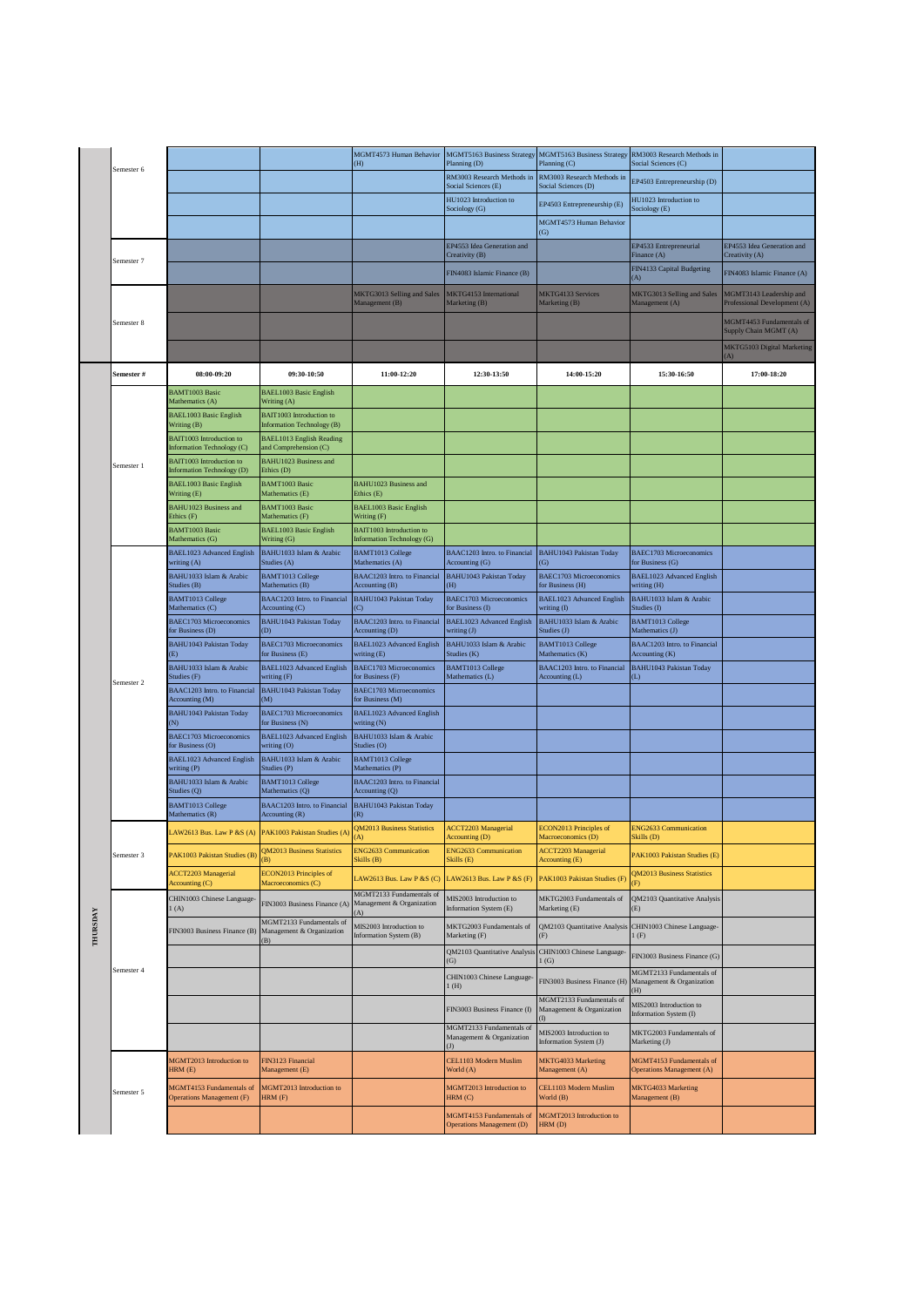|                 |            |                                                        |                                                              | MGMT4573 Human Behavior<br>(H)                               | <b>MGMT5163 Business Strategy</b><br>Planning (D)            | MGMT5163 Business Strategy<br>Planning (C)            | RM3003 Research Methods in<br>Social Sciences (C)            |                                                         |
|-----------------|------------|--------------------------------------------------------|--------------------------------------------------------------|--------------------------------------------------------------|--------------------------------------------------------------|-------------------------------------------------------|--------------------------------------------------------------|---------------------------------------------------------|
|                 | Semester 6 |                                                        |                                                              |                                                              | RM3003 Research Methods in<br>Social Sciences (E)            | RM3003 Research Methods in<br>Social Sciences (D)     | EP4503 Entrepreneurship (D)                                  |                                                         |
|                 |            |                                                        |                                                              |                                                              | HU1023 Introduction to<br>Sociology (G)                      | EP4503 Entrepreneurship (E)                           | HU1023 Introduction to<br>Sociology (E)                      |                                                         |
|                 |            |                                                        |                                                              |                                                              |                                                              | MGMT4573 Human Behavior<br>$\overline{G}$             |                                                              |                                                         |
|                 |            |                                                        |                                                              |                                                              | EP4553 Idea Generation and<br>Creativity (B)                 |                                                       | EP4533 Entrepreneurial<br>Finance (A)                        | EP4553 Idea Generation and<br>Creativity (A)            |
|                 | Semester 7 |                                                        |                                                              |                                                              | FIN4083 Islamic Finance (B)                                  |                                                       | FIN4133 Capital Budgeting<br>(A)                             | FIN4083 Islamic Finance (A)                             |
|                 |            |                                                        |                                                              | MKTG3013 Selling and Sales<br>Management (B)                 | MKTG4153 International<br>Marketing (B)                      | <b>MKTG4133 Services</b><br>Marketing (B)             | MKTG3013 Selling and Sales<br>Management (A)                 | MGMT3143 Leadership and<br>Professional Development (A) |
|                 | Semester 8 |                                                        |                                                              |                                                              |                                                              |                                                       |                                                              | MGMT4453 Fundamentals of<br>Supply Chain MGMT (A)       |
|                 |            |                                                        |                                                              |                                                              |                                                              |                                                       |                                                              | MKTG5103 Digital Marketing                              |
|                 | Semester # | 08:00-09:20                                            | 09:30-10:50                                                  | 11:00-12:20                                                  | 12:30-13:50                                                  | 14:00-15:20                                           | 15:30-16:50                                                  | 17:00-18:20                                             |
|                 |            | <b>BAMT1003 Basic</b><br>Mathematics (A)               | <b>BAEL1003 Basic English</b><br>Writing (A)                 |                                                              |                                                              |                                                       |                                                              |                                                         |
|                 |            | <b>BAEL1003 Basic English</b><br>Writing (B)           | BAIT1003 Introduction to<br>Information Technology (B)       |                                                              |                                                              |                                                       |                                                              |                                                         |
|                 |            | BAIT1003 Introduction to<br>Information Technology (C) | <b>BAEL1013 English Reading</b><br>and Comprehension (C)     |                                                              |                                                              |                                                       |                                                              |                                                         |
|                 | Semester 1 | BAIT1003 Introduction to<br>Information Technology (D) | BAHU1023 Business and<br>Ethics (D)                          |                                                              |                                                              |                                                       |                                                              |                                                         |
|                 |            | BAEL1003 Basic English<br>Writing (E)                  | <b>BAMT1003 Basic</b><br>Mathematics (E)                     | BAHU1023 Business and<br>Ethics (E)                          |                                                              |                                                       |                                                              |                                                         |
|                 |            | <b>BAHU1023 Business and</b><br>Ethics (F)             | <b>BAMT1003 Basic</b><br>Mathematics (F)                     | <b>BAEL1003 Basic English</b><br>Writing (F)                 |                                                              |                                                       |                                                              |                                                         |
|                 |            | <b>BAMT1003 Basic</b><br>Mathematics (G)               | <b>BAEL1003 Basic English</b><br>Writing (G)                 | BAIT1003 Introduction to<br>Information Technology (G)       |                                                              |                                                       |                                                              |                                                         |
|                 |            | BAEL1023 Advanced English<br>writing (A)               | BAHU1033 Islam & Arabic<br>Studies (A)                       | <b>BAMT1013 College</b><br>Mathematics (A)                   | BAAC1203 Intro. to Financial<br>Accounting (G)               | <b>BAHU1043 Pakistan Today</b><br>$\circ$             | BAEC1703 Microeconomics<br>for Business (G)                  |                                                         |
|                 |            | BAHU1033 Islam & Arabic<br>Studies (B)                 | <b>BAMT1013 College</b><br>Mathematics (B)                   | BAAC1203 Intro. to Financial<br>Accounting (B)               | <b>BAHU1043 Pakistan Today</b><br>(H)                        | <b>BAEC1703 Microeconomics</b><br>for Business (H)    | <b>BAEL1023 Advanced English</b><br>writing (H)              |                                                         |
|                 |            | <b>BAMT1013 College</b><br>Mathematics (C)             | BAAC1203 Intro. to Financial<br>Accounting (C)               | BAHU1043 Pakistan Today<br>(C)                               | BAEC1703 Microeconomics<br>or Business (I)                   | <b>BAEL1023 Advanced English</b><br>writing (I)       | BAHU1033 Islam & Arabic<br>Studies (I)                       |                                                         |
|                 |            | BAEC1703 Microeconomics<br>for Business (D)            | BAHU1043 Pakistan Today<br>(D)                               | BAAC1203 Intro. to Financial<br>Accounting (D)               | BAEL1023 Advanced English<br>writing (J)                     | BAHU1033 Islam & Arabic<br>Studies (J)                | BAMT1013 College<br>Mathematics (J)                          |                                                         |
|                 |            | <b>BAHU1043 Pakistan Today</b><br>(E)                  | <b>BAEC1703 Microeconomics</b><br>for Business (E)           | BAEL1023 Advanced English<br>writing (E)                     | BAHU1033 Islam & Arabic<br>Studies (K)                       | BAMT1013 College<br>Mathematics (K)                   | BAAC1203 Intro. to Financial<br>Accounting (K)               |                                                         |
|                 |            | BAHU1033 Islam & Arabic<br>Studies (F)                 | BAEL1023 Advanced English<br>writing (F)                     | <b>BAEC1703 Microeconomics</b><br>for Business (F)           | BAMT1013 College<br>Mathematics (L)                          | BAAC1203 Intro. to Financial<br>Accounting (L)        | BAHU1043 Pakistan Today<br>(L)                               |                                                         |
|                 | Semester 2 | BAAC1203 Intro. to Financial<br>Accounting (M)         | BAHU1043 Pakistan Today<br>(M)                               | <b>BAEC1703 Microeconomics</b><br>for Business (M)           |                                                              |                                                       |                                                              |                                                         |
|                 |            | <b>BAHU1043 Pakistan Today</b><br>(N)                  | BAEC1703 Microeconomics<br>for Business (N)                  | BAEL1023 Advanced English<br>writing (N)                     |                                                              |                                                       |                                                              |                                                         |
|                 |            | <b>BAEC1703 Microeconomics</b><br>for Business (O)     | BAEL1023 Advanced English<br>writing (O)                     | BAHU1033 Islam & Arabic<br>Studies (O)                       |                                                              |                                                       |                                                              |                                                         |
|                 |            | BAEL1023 Advanced English<br>writing (P)               | BAHU1033 Islam & Arabic<br>Studies (P)                       | <b>BAMT1013 College</b><br>Mathematics (P)                   |                                                              |                                                       |                                                              |                                                         |
|                 |            | BAHU1033 Islam & Arabic<br>Studies (Q)                 | <b>BAMT1013 College</b><br>Mathematics (Q)                   | BAAC1203 Intro. to Financial<br>Accounting (Q)               |                                                              |                                                       |                                                              |                                                         |
|                 |            | <b>BAMT1013 College</b><br>Mathematics (R)             | BAAC1203 Intro. to Financial<br>Accounting (R)               | <b>BAHU1043 Pakistan Today</b><br>(R)                        |                                                              |                                                       |                                                              |                                                         |
|                 |            |                                                        | LAW2613 Bus. Law P &S (A) PAK1003 Pakistan Studies (A)       | <b>QM2013 Business Statistics</b><br>(A)                     | <b>ACCT2203 Managerial</b><br>Accounting (D)                 | ECON2013 Principles of<br>Macroeconomics (D)          | <b>ENG2633 Communication</b><br>Skills (D)                   |                                                         |
|                 | Semester 3 | PAK1003 Pakistan Studies (B)                           | QM2013 Business Statistics                                   | <b>ENG2633 Communication</b><br>Skills (B)                   | <b>ENG2633 Communication</b><br>Skills (E)                   | ACCT2203 Managerial<br>Accounting (E)                 | PAK1003 Pakistan Studies (E)                                 |                                                         |
|                 |            | <b>ACCT2203 Managerial</b><br>Accounting (C)           | ECON2013 Principles of<br>Macroeconomics (C)                 | LAW2613 Bus. Law P &S (C)                                    | LAW2613 Bus. Law P &S (F)                                    | PAK1003 Pakistan Studies (F)                          | <b>QM2013 Business Statistics</b><br>(F)                     |                                                         |
|                 |            | CHIN1003 Chinese Language-<br>(A)                      | FIN3003 Business Finance (A                                  | MGMT2133 Fundamentals of<br>Management & Organization<br>(A) | 4IS2003 Introduction to<br>Information System (E)            | MKTG2003 Fundamentals of<br>Marketing (E)             | QM2103 Quantitative Analysis<br>(E)                          |                                                         |
| <b>THURSDAY</b> |            | FIN3003 Business Finance (B)                           | MGMT2133 Fundamentals of<br>Management & Organization<br>(B) | MIS2003 Introduction to<br>Information System (B)            | MKTG2003 Fundamentals of<br>Marketing (F)                    | QM2103 Quantitative Analysis<br>(F)                   | CHIN1003 Chinese Language-<br>1(F)                           |                                                         |
|                 |            |                                                        |                                                              |                                                              | QM2103 Quantitative Analysis<br>$\left( G\right)$            | CHIN1003 Chinese Language-<br>1(G)                    | FIN3003 Business Finance (G)                                 |                                                         |
|                 | Semester 4 |                                                        |                                                              |                                                              | CHIN1003 Chinese Language-<br>(H)                            | FIN3003 Business Finance (H)                          | MGMT2133 Fundamentals of<br>Management & Organization<br>H)  |                                                         |
|                 |            |                                                        |                                                              |                                                              | FIN3003 Business Finance (I)                                 | MGMT2133 Fundamentals of<br>Management & Organization | MIS2003 Introduction to<br>Information System (I)            |                                                         |
|                 |            |                                                        |                                                              |                                                              | MGMT2133 Fundamentals of<br>Management & Organization        | MIS2003 Introduction to<br>Information System (J)     | MKTG2003 Fundamentals of<br>Marketing (J)                    |                                                         |
|                 |            | MGMT2013 Introduction to<br>HRM (E)                    | FIN3123 Financial<br>Management (E)                          |                                                              | CEL1103 Modern Muslim<br>World (A)                           | MKTG4033 Marketing<br>Management (A)                  | MGMT4153 Fundamentals of<br><b>Operations Management (A)</b> |                                                         |
|                 | Semester 5 | MGMT4153 Fundamentals of<br>Operations Management (F)  | MGMT2013 Introduction to<br>HRM (F)                          |                                                              | MGMT2013 Introduction to<br>HRM (C)                          | CEL1103 Modern Muslim<br>World (B)                    | MKTG4033 Marketing<br>Management (B)                         |                                                         |
|                 |            |                                                        |                                                              |                                                              | MGMT4153 Fundamentals of<br><b>Operations Management (D)</b> | MGMT2013 Introduction to<br>HRM (D)                   |                                                              |                                                         |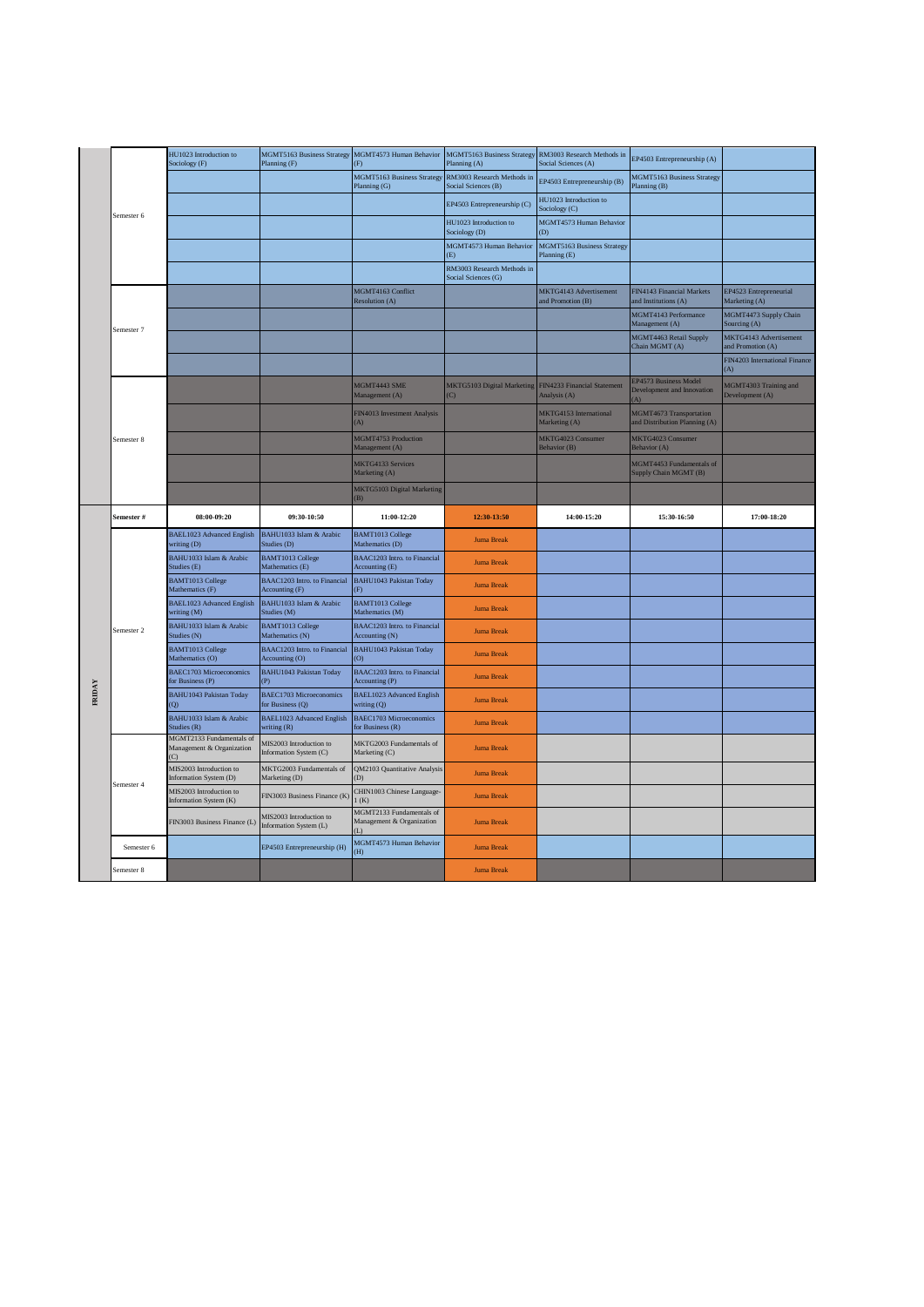|        |            | HU1023 Introduction to<br>Sociology (F)                                 | MGMT5163 Business Strategy MGMT4573 Human Behavior<br>Planning (F) | (F)                                                          | <b>MGMT5163 Business Strategy</b><br>Planning (A) | RM3003 Research Methods in<br>Social Sciences (A) | EP4503 Entrepreneurship (A)                              |                                             |
|--------|------------|-------------------------------------------------------------------------|--------------------------------------------------------------------|--------------------------------------------------------------|---------------------------------------------------|---------------------------------------------------|----------------------------------------------------------|---------------------------------------------|
|        |            |                                                                         |                                                                    | MGMT5163 Business Strategy<br>Planning (G)                   | RM3003 Research Methods in<br>Social Sciences (B) | EP4503 Entrepreneurship (B)                       | MGMT5163 Business Strategy<br>Planning (B)               |                                             |
|        |            |                                                                         |                                                                    |                                                              | EP4503 Entrepreneurship (C)                       | HU1023 Introduction to<br>Sociology (C)           |                                                          |                                             |
|        | Semester 6 |                                                                         |                                                                    |                                                              | HU1023 Introduction to<br>Sociology (D)           | MGMT4573 Human Behavior<br>(D)                    |                                                          |                                             |
|        |            |                                                                         |                                                                    |                                                              | MGMT4573 Human Behavior<br>(E)                    | MGMT5163 Business Strategy<br>Planning (E)        |                                                          |                                             |
|        |            |                                                                         |                                                                    |                                                              | RM3003 Research Methods in<br>Social Sciences (G) |                                                   |                                                          |                                             |
|        |            |                                                                         |                                                                    | MGMT4163 Conflict<br><b>Resolution (A)</b>                   |                                                   | MKTG4143 Advertisement<br>and Promotion (B)       | FIN4143 Financial Markets<br>and Institutions (A)        | EP4523 Entrepreneurial<br>Marketing (A)     |
|        | Semester 7 |                                                                         |                                                                    |                                                              |                                                   |                                                   | MGMT4143 Performance<br>Management (A)                   | MGMT4473 Supply Chain<br>Sourcing (A)       |
|        |            |                                                                         |                                                                    |                                                              |                                                   |                                                   | MGMT4463 Retail Supply<br>Chain MGMT (A)                 | MKTG4143 Advertisement<br>and Promotion (A) |
|        |            |                                                                         |                                                                    |                                                              |                                                   |                                                   |                                                          | FIN4203 International Finance<br>(A)        |
|        |            |                                                                         |                                                                    | MGMT4443 SME<br>Management (A)                               | MKTG5103 Digital Marketing<br>$\overline{C}$      | FIN4233 Financial Statement<br>Analysis (A)       | EP4573 Business Model<br>Development and Innovation      | MGMT4303 Training and<br>Development (A)    |
|        | Semester 8 |                                                                         |                                                                    | FIN4013 Investment Analysis<br>(A)                           |                                                   | MKTG4153 International<br>Marketing (A)           | MGMT4673 Transportation<br>and Distribution Planning (A) |                                             |
|        |            |                                                                         |                                                                    | MGMT4753 Production<br>Management (A)                        |                                                   | MKTG4023 Consumer<br>Behavior (B)                 | MKTG4023 Consumer<br>Behavior (A)                        |                                             |
|        |            |                                                                         |                                                                    | MKTG4133 Services<br>Marketing (A)                           |                                                   |                                                   | MGMT4453 Fundamentals of<br>Supply Chain MGMT (B)        |                                             |
|        |            |                                                                         |                                                                    | MKTG5103 Digital Marketing<br>(B)                            |                                                   |                                                   |                                                          |                                             |
|        | Semester # | 08:00-09:20                                                             | 09:30-10:50                                                        | 11:00-12:20                                                  | 12:30-13:50                                       | 14:00-15:20                                       | 15:30-16:50                                              | 17:00-18:20                                 |
|        |            |                                                                         |                                                                    |                                                              |                                                   |                                                   |                                                          |                                             |
|        |            | <b>BAEL1023 Advanced English</b><br>writing (D)                         | BAHU1033 Islam & Arabic<br>Studies (D)                             | <b>BAMT1013 College</b><br>Mathematics (D)                   | <b>Juma Break</b>                                 |                                                   |                                                          |                                             |
|        |            | BAHU1033 Islam & Arabic<br>Studies (E)                                  | <b>BAMT1013 College</b><br>Mathematics (E)                         | BAAC1203 Intro. to Financial<br>Accounting (E)               | <b>Juma Break</b>                                 |                                                   |                                                          |                                             |
|        |            | <b>BAMT1013 College</b><br>Mathematics (F)                              | BAAC1203 Intro. to Financial<br>Accounting (F)                     | BAHU1043 Pakistan Today<br>(F)                               | <b>Juma Break</b>                                 |                                                   |                                                          |                                             |
|        |            | <b>BAEL1023 Advanced English</b><br>writing (M)                         | BAHU1033 Islam & Arabic<br>Studies (M)                             | <b>BAMT1013 College</b><br>Mathematics (M)                   | <b>Juma Break</b>                                 |                                                   |                                                          |                                             |
|        | Semester 2 | BAHU1033 Islam & Arabic<br>Studies (N)                                  | <b>BAMT1013 College</b><br>Mathematics (N)                         | BAAC1203 Intro. to Financial<br>Accounting (N)               | <b>Juma Break</b>                                 |                                                   |                                                          |                                             |
|        |            | <b>BAMT1013 College</b><br>Mathematics (O)                              | BAAC1203 Intro. to Financial<br>Accounting (O)                     | <b>BAHU1043 Pakistan Today</b><br>(0)                        | <b>Juma Break</b>                                 |                                                   |                                                          |                                             |
|        |            | <b>BAEC1703 Microeconomics</b><br>for Business (P)                      | <b>BAHU1043 Pakistan Today</b><br>(P)                              | BAAC1203 Intro. to Financial<br>Accounting (P)               | <b>Juma Break</b>                                 |                                                   |                                                          |                                             |
| FRIDAY |            | <b>BAHU1043 Pakistan Today</b><br>$\Omega$                              | <b>BAEC1703 Microeconomics</b><br>for Business (Q)                 | BAEL1023 Advanced English<br>writing (Q)                     | <b>Juma Break</b>                                 |                                                   |                                                          |                                             |
|        |            | BAHU1033 Islam & Arabic<br>Studies (R)                                  | BAEL1023 Advanced English<br>writing (R)                           | <b>BAEC1703 Microeconomics</b><br>for Business (R)           | <b>Juma Break</b>                                 |                                                   |                                                          |                                             |
|        |            | MGMT2133 Fundamentals of<br>Management & Organization<br>$\overline{C}$ | MIS2003 Introduction to<br>Information System (C)                  | MKTG2003 Fundamentals of<br>Marketing (C)                    | <b>Juma Break</b>                                 |                                                   |                                                          |                                             |
|        |            | MIS2003 Introduction to<br>Information System (D)                       | MKTG2003 Fundamentals of<br>Marketing (D)                          | QM2103 Quantitative Analysis<br>(D)                          | <b>Juma Break</b>                                 |                                                   |                                                          |                                             |
|        | Semester 4 | MIS2003 Introduction to<br>Information System (K)                       | FIN3003 Business Finance (K)                                       | CHIN1003 Chinese Language-<br>1(K)                           | <b>Juma Break</b>                                 |                                                   |                                                          |                                             |
|        |            | FIN3003 Business Finance (L)                                            | MIS2003 Introduction to<br>Information System (L)                  | MGMT2133 Fundamentals of<br>Management & Organization<br>(L) | <b>Juma Break</b>                                 |                                                   |                                                          |                                             |
|        | Semester 6 |                                                                         | EP4503 Entrepreneurship (H)                                        | MGMT4573 Human Behavior<br>(H)                               | <b>Juma Break</b>                                 |                                                   |                                                          |                                             |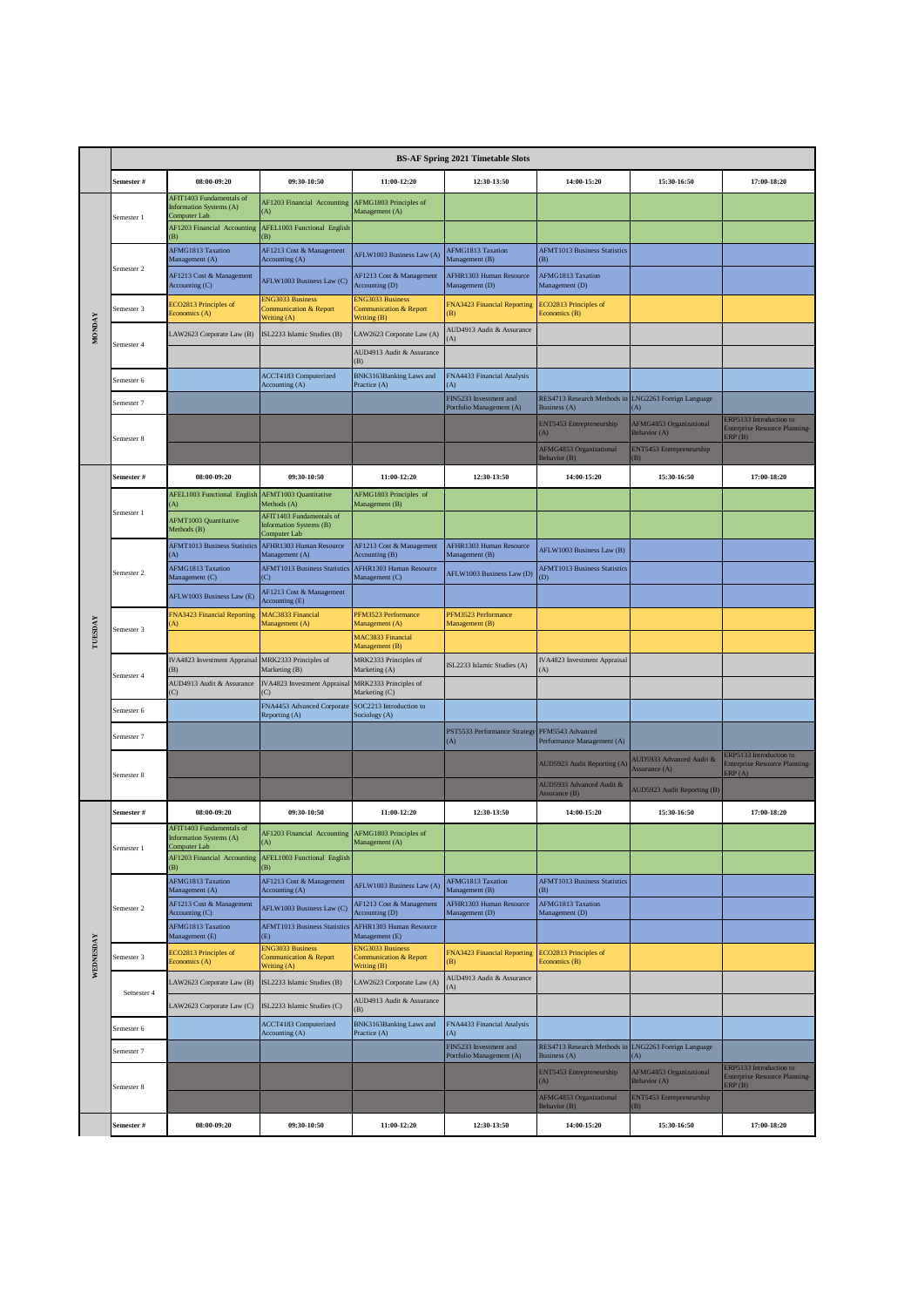|               |            |                                                                     |                                                                             |                                                                             | <b>BS-AF Spring 2021 Timetable Slots</b>             |                                             |                                           |                                                                           |
|---------------|------------|---------------------------------------------------------------------|-----------------------------------------------------------------------------|-----------------------------------------------------------------------------|------------------------------------------------------|---------------------------------------------|-------------------------------------------|---------------------------------------------------------------------------|
|               | Semester # | 08:00-09:20                                                         | 09:30-10:50                                                                 | 11:00-12:20                                                                 | 12:30-13:50                                          | 14:00-15:20                                 | 15:30-16:50                               | 17:00-18:20                                                               |
|               |            | AFIT1403 Fundamentals of<br>Information Systems (A)<br>Computer Lab | AF1203 Financial Accounting<br>(A)                                          | AFMG1803 Principles of<br>Management (A)                                    |                                                      |                                             |                                           |                                                                           |
|               | Semester 1 | AF1203 Financial Accounting<br>B)                                   | <b>AFEL1003 Functional English</b><br>(B)                                   |                                                                             |                                                      |                                             |                                           |                                                                           |
|               |            | AFMG1813 Taxation<br>Management (A)                                 | AF1213 Cost & Management<br>Accounting (A)                                  | AFLW1003 Business Law (A)                                                   | <b>AFMG1813 Taxation</b><br>Management (B)           | <b>AFMT1013 Business Statistics</b><br>B)   |                                           |                                                                           |
|               | Semester 2 | AF1213 Cost & Management<br>Accounting (C)                          | AFLW1003 Business Law (C)                                                   | AF1213 Cost & Management<br>Accounting (D)                                  | AFHR1303 Human Resource<br>Management (D)            | AFMG1813 Taxation<br>Management (D)         |                                           |                                                                           |
|               | Semester 3 | ECO2813 Principles of<br>Economics (A)                              | <b>ENG3033 Business</b><br><b>Communication &amp; Report</b><br>Writing (A) | <b>ENG3033 Business</b><br><b>Communication &amp; Report</b><br>Writing (B) | FNA3423 Financial Reporting<br>(B)                   | ECO2813 Principles of<br>Economics (B)      |                                           |                                                                           |
| <b>MONDAY</b> |            | LAW2623 Corporate Law (B)                                           | ISL2233 Islamic Studies (B)                                                 | LAW2623 Corporate Law (A)                                                   | AUD4913 Audit & Assurance<br>A)                      |                                             |                                           |                                                                           |
|               | Semester 4 |                                                                     |                                                                             | AUD4913 Audit & Assurance<br>(B)                                            |                                                      |                                             |                                           |                                                                           |
|               | Semester 6 |                                                                     | ACCT4183 Computerized<br>Accounting (A)                                     | BNK3163Banking Laws and<br>Practice (A)                                     | FNA4433 Financial Analysis<br>(A)                    |                                             |                                           |                                                                           |
|               | Semester 7 |                                                                     |                                                                             |                                                                             | FIN5233 Investment and<br>Portfolio Management (A)   | RES4713 Research Methods in<br>Business (A) | LNG2263 Foreign Language<br>A)            |                                                                           |
|               | Semester 8 |                                                                     |                                                                             |                                                                             |                                                      | ENT5453 Entrepreneurship<br>(A)             | AFMG4853 Organizational<br>Behavior (A)   | ERP5133 Introduction to<br><b>Enterprise Resource Planning-</b><br>ERP(B) |
|               |            |                                                                     |                                                                             |                                                                             |                                                      | AFMG4853 Organizational<br>Behavior (B)     | ENT5453 Entrepreneurship<br>(B)           |                                                                           |
|               | Semester # | 08:00-09:20                                                         | 09:30-10:50                                                                 | 11:00-12:20                                                                 | 12:30-13:50                                          | 14:00-15:20                                 | 15:30-16:50                               | 17:00-18:20                                                               |
|               | Semester 1 | AFEL1003 Functional English<br>(A)                                  | AFMT1003 Quantitative<br>Methods (A)<br>AFIT1403 Fundamentals of            | AFMG1803 Principles of<br>Management (B)                                    |                                                      |                                             |                                           |                                                                           |
|               |            | <b>AFMT1003 Quantitative</b><br>Methods (B)                         | <b>Information Systems (B)</b><br>Computer Lab                              |                                                                             |                                                      |                                             |                                           |                                                                           |
|               |            | <b>AFMT1013 Business Statistics</b><br>(A)                          | AFHR1303 Human Resource<br>Management (A)                                   | AF1213 Cost & Management<br>Accounting (B)                                  | AFHR1303 Human Resource<br>Management (B)            | AFLW1003 Business Law (B)                   |                                           |                                                                           |
|               | Semester 2 | AFMG1813 Taxation<br>Management (C)                                 | <b>AFMT1013 Business Statistics</b><br>(C)                                  | AFHR1303 Human Resource<br>Management (C)                                   | AFLW1003 Business Law (D)                            | <b>AFMT1013 Business Statistics</b><br>(D)  |                                           |                                                                           |
|               |            | AFLW1003 Business Law (E)                                           | AF1213 Cost & Management<br>Accounting (E)                                  |                                                                             |                                                      |                                             |                                           |                                                                           |
| TUESDAY       | Semester 3 | FNA3423 Financial Reporting<br>A)                                   | MAC3833 Financial<br>Management (A)                                         | PFM3523 Performance<br>Management (A)                                       | PFM3523 Performance<br>Management (B)                |                                             |                                           |                                                                           |
|               |            |                                                                     |                                                                             | MAC3833 Financial<br>Management (B)                                         |                                                      |                                             |                                           |                                                                           |
|               | Semester 4 | IVA4823 Investment Appraisal<br>(B)                                 | MRK2333 Principles of<br>Marketing (B)                                      | MRK2333 Principles of<br>Marketing (A)                                      | ISL2233 Islamic Studies (A)                          | IVA4823 Investment Appraisal<br>(A)         |                                           |                                                                           |
|               |            | AUD4913 Audit & Assurance<br>(C)                                    | IVA4823 Investment Appraisa                                                 | MRK2333 Principles of<br>Marketing (C)                                      |                                                      |                                             |                                           |                                                                           |
|               | Semester 6 |                                                                     | FNA4453 Advanced Corporate<br>Reporting (A)                                 | SOC2213 Introduction to<br>Sociology (A)                                    |                                                      |                                             |                                           |                                                                           |
|               | Semester 7 |                                                                     |                                                                             |                                                                             | PST5533 Performance Strategy PFM5543 Advanced<br>(A) | Performance Management (A)                  |                                           |                                                                           |
|               | Semester 8 |                                                                     |                                                                             |                                                                             |                                                      | <b>AUD5923 Audit Reporting (A)</b>          | AUD5933 Advanced Audit &<br>Assurance (A) | ERP5133 Introduction to<br>Enterprise Resource Planning-<br>ERP(A)        |
|               |            |                                                                     |                                                                             |                                                                             |                                                      | AUD5933 Advanced Audit &<br>Assurance (B)   | AUD5923 Audit Reporting (B)               |                                                                           |
|               | Semester # | 08:00-09:20<br>AFIT1403 Fundamentals of                             | 09:30-10:50                                                                 | 11:00-12:20                                                                 | 12:30-13:50                                          | 14:00-15:20                                 | 15:30-16:50                               | 17:00-18:20                                                               |
|               | Semester 1 | Information Systems (A)<br>Computer Lab                             | AF1203 Financial Accounting AFMG1803 Principles of<br>(A)                   | Management (A)                                                              |                                                      |                                             |                                           |                                                                           |
|               |            | AF1203 Financial Accounting<br>(B)                                  | AFEL1003 Functional English<br>(B)                                          |                                                                             |                                                      |                                             |                                           |                                                                           |
|               |            | AFMG1813 Taxation<br>Management (A)                                 | AF1213 Cost & Management<br>Accounting (A)                                  | AFLW1003 Business Law (A)                                                   | AFMG1813 Taxation<br>Management (B)                  | <b>AFMT1013 Business Statistics</b><br>(B)  |                                           |                                                                           |
|               | Semester 2 | AF1213 Cost & Management<br>Accounting (C)                          | AFLW1003 Business Law (C)                                                   | AF1213 Cost & Management<br>Accounting (D)                                  | AFHR1303 Human Resource<br>Management (D)            | AFMG1813 Taxation<br>Management (D)         |                                           |                                                                           |
|               |            | AFMG1813 Taxation<br>Management (E)                                 | <b>AFMT1013 Business Statistics</b><br>(E)<br><b>ENG3033 Business</b>       | AFHR1303 Human Resource<br>Management (E)<br><b>ENG3033 Business</b>        |                                                      |                                             |                                           |                                                                           |
| WEDNESDAY     | Semester 3 | ECO2813 Principles of<br>Economics (A)                              | <b>Communication &amp; Report</b><br>Writing (A)                            | <b>Communication &amp; Report</b><br>Writing (B)                            | FNA3423 Financial Reporting<br>(B)                   | ECO2813 Principles of<br>Economics (B)      |                                           |                                                                           |
|               | Semester 4 | LAW2623 Corporate Law (B)                                           | ISL2233 Islamic Studies (B)                                                 | LAW2623 Corporate Law (A)                                                   | AUD4913 Audit & Assurance<br>A)                      |                                             |                                           |                                                                           |
|               |            | LAW2623 Corporate Law (C)                                           | ISL2233 Islamic Studies (C)                                                 | AUD4913 Audit & Assurance<br>(B)                                            |                                                      |                                             |                                           |                                                                           |
|               | Semester 6 |                                                                     | ACCT4183 Computerized<br>Accounting (A)                                     | BNK3163Banking Laws and<br>Practice (A)                                     | FNA4433 Financial Analysis<br>(A)                    |                                             |                                           |                                                                           |
|               | Semester 7 |                                                                     |                                                                             |                                                                             | FIN5233 Investment and<br>Portfolio Management (A)   | RES4713 Research Methods in<br>Business (A) | LNG2263 Foreign Language<br>(A)           | ERP5133 Introduction to                                                   |
|               | Semester 8 |                                                                     |                                                                             |                                                                             |                                                      | ENT5453 Entrepreneurship<br>(A)             | AFMG4853 Organizational<br>Behavior (A)   | Enterprise Resource Planning-<br>$\text{ERP}(B)$                          |
|               |            |                                                                     |                                                                             |                                                                             |                                                      | AFMG4853 Organizational<br>Behavior (B)     | ENT5453 Entrepreneurship<br>B)            |                                                                           |
|               | Semester # | 08:00-09:20                                                         | 09:30-10:50                                                                 | 11:00-12:20                                                                 | 12:30-13:50                                          | 14:00-15:20                                 | 15:30-16:50                               | 17:00-18:20                                                               |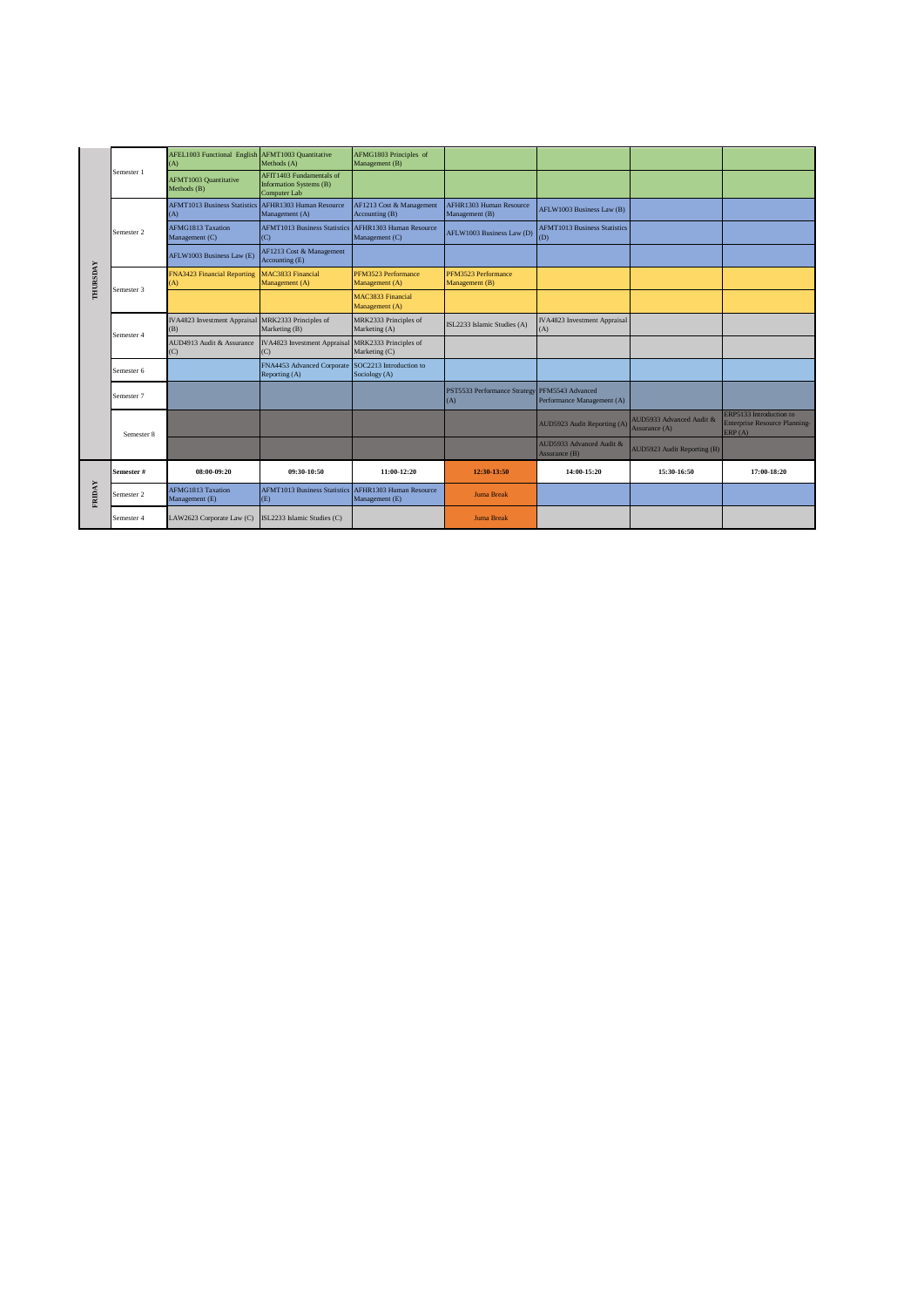|                 |            | AFEL1003 Functional English<br>A)           | AFMT1003 Quantitative<br>Methods (A)                                | AFMG1803 Principles of<br>Management (B)   |                                                      |                                            |                                           |                                                                           |
|-----------------|------------|---------------------------------------------|---------------------------------------------------------------------|--------------------------------------------|------------------------------------------------------|--------------------------------------------|-------------------------------------------|---------------------------------------------------------------------------|
|                 | Semester 1 | <b>AFMT1003 Quantitative</b><br>Methods (B) | AFIT1403 Fundamentals of<br>Information Systems (B)<br>Computer Lab |                                            |                                                      |                                            |                                           |                                                                           |
|                 |            | <b>AFMT1013 Business Statistics</b><br>(A)  | AFHR1303 Human Resource<br>Management (A)                           | AF1213 Cost & Management<br>Accounting (B) | AFHR1303 Human Resource<br>Management (B)            | AFLW1003 Business Law (B)                  |                                           |                                                                           |
|                 | Semester 2 | AFMG1813 Taxation<br>Management (C)         | <b>AFMT1013 Business Statistics</b><br>(C)                          | AFHR1303 Human Resource<br>Management (C)  | AFLW1003 Business Law (D)                            | <b>AFMT1013 Business Statistics</b><br>(D) |                                           |                                                                           |
| <b>THURSDAY</b> |            | AFLW1003 Business Law (E)                   | AF1213 Cost & Management<br>Accounting (E)                          |                                            |                                                      |                                            |                                           |                                                                           |
|                 | Semester 3 | <b>FNA3423 Financial Reporting</b><br>A)    | MAC3833 Financial<br>Management (A)                                 | PFM3523 Performance<br>Management (A)      | PFM3523 Performance<br>Management (B)                |                                            |                                           |                                                                           |
|                 |            |                                             |                                                                     | MAC3833 Financial<br>Management (A)        |                                                      |                                            |                                           |                                                                           |
|                 | Semester 4 | IVA4823 Investment Appraisal<br>(B)         | MRK2333 Principles of<br>Marketing (B)                              | MRK2333 Principles of<br>Marketing (A)     | ISL2233 Islamic Studies (A)                          | IVA4823 Investment Appraisal<br>(A)        |                                           |                                                                           |
|                 |            | AUD4913 Audit & Assurance<br>(C)            | <b>IVA4823</b> Investment Appraisal<br>(C)                          | MRK2333 Principles of<br>Marketing (C)     |                                                      |                                            |                                           |                                                                           |
|                 | Semester 6 |                                             | FNA4453 Advanced Corporate SOC2213 Introduction to<br>Reporting (A) | Sociology (A)                              |                                                      |                                            |                                           |                                                                           |
|                 | Semester 7 |                                             |                                                                     |                                            | PST5533 Performance Strategy PFM5543 Advanced<br>(A) | Performance Management (A)                 |                                           |                                                                           |
|                 | Semester 8 |                                             |                                                                     |                                            |                                                      | AUD5923 Audit Reporting (A)                | AUD5933 Advanced Audit &<br>Assurance (A) | ERP5133 Introduction to<br><b>Enterprise Resource Planning-</b><br>ERP(A) |
|                 |            |                                             |                                                                     |                                            |                                                      | AUD5933 Advanced Audit &<br>Assurance (B)  | AUD5923 Audit Reporting (B)               |                                                                           |
| FRIDAY          | Semester # | 08:00-09:20                                 | 09:30-10:50                                                         | $11:00-12:20$                              | 12:30-13:50                                          | 14:00-15:20                                | 15:30-16:50                               | 17:00-18:20                                                               |
|                 | Semester 2 | AFMG1813 Taxation<br>Management (E)         | <b>AFMT1013 Business Statistics</b><br>(E)                          | AFHR1303 Human Resource<br>Management (E)  | <b>Juma Break</b>                                    |                                            |                                           |                                                                           |
|                 | Semester 4 | LAW2623 Corporate Law (C)                   | ISL2233 Islamic Studies (C)                                         |                                            | <b>Juma Break</b>                                    |                                            |                                           |                                                                           |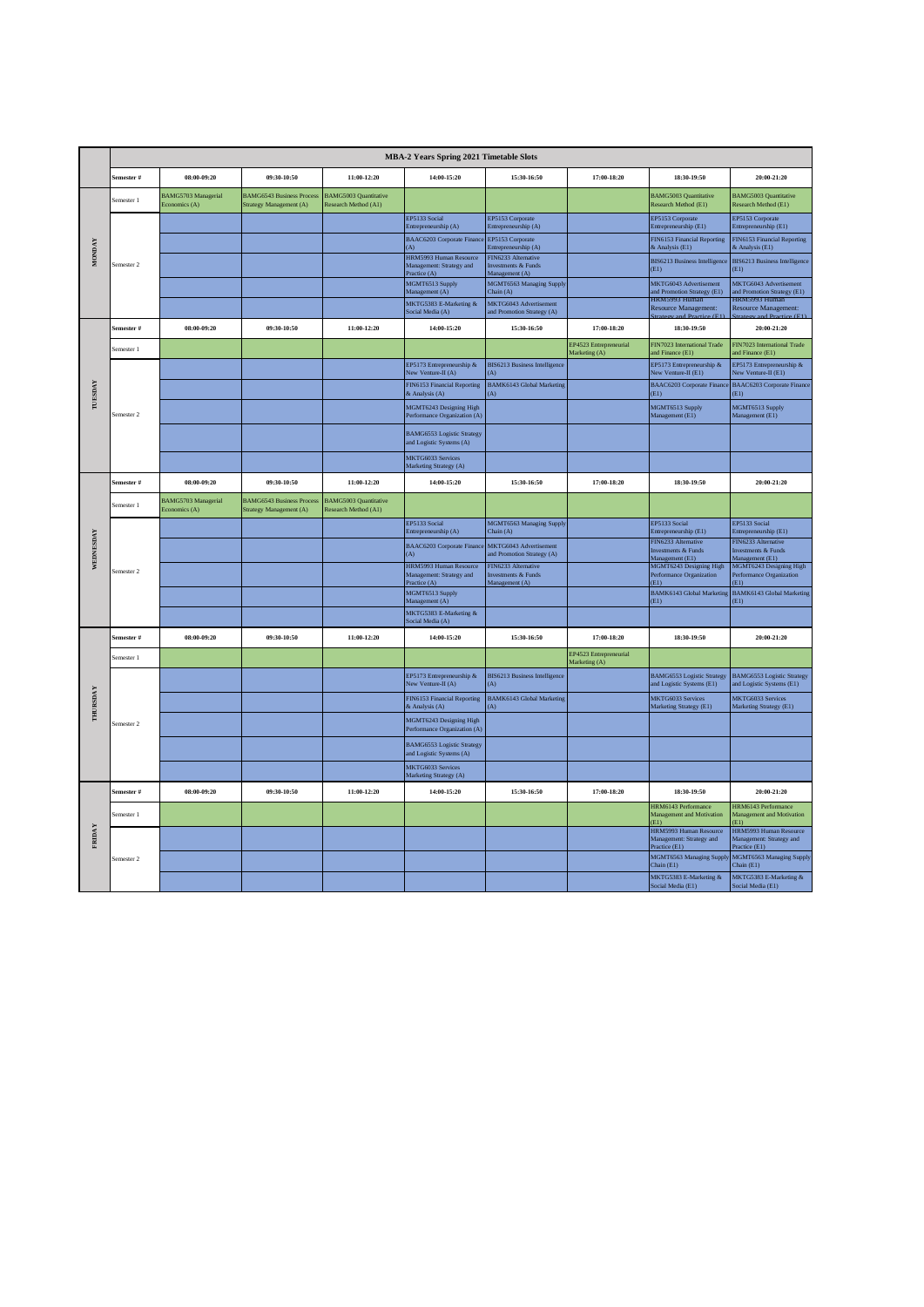|                 |                 |                                      |                                                             |                                                      | MBA-2 Years Spring 2021 Timetable Slots                            |                                                                         |                                         |                                                                     |                                                                     |
|-----------------|-----------------|--------------------------------------|-------------------------------------------------------------|------------------------------------------------------|--------------------------------------------------------------------|-------------------------------------------------------------------------|-----------------------------------------|---------------------------------------------------------------------|---------------------------------------------------------------------|
|                 | emester #       | 08:00-09:20                          | 09:30-10:50                                                 | 11:00-12:20                                          | 14:00-15:20                                                        | 15:30-16:50                                                             | 17:00-18:20                             | 18:30-19:50                                                         | 20:00-21:20                                                         |
|                 | semester 1      | BAMG5703 Managerial<br>Economics (A) | <b>BAMG6543 Business Proces</b><br>Strategy Management (A)  | <b>BAMG5003 Quantitative</b><br>Research Method (A1) |                                                                    |                                                                         |                                         | <b>BAMG5003 Quantitative</b><br>Research Method (E1)                | <b>BAMG5003 Quantitative</b><br>Research Method (E1)                |
|                 |                 |                                      |                                                             |                                                      | EP5133 Social<br>Entrepreneurship (A)                              | EP5153 Corporate<br>Entrepreneurship (A)                                |                                         | EP5153 Corporate<br>Entrepreneurship (E1)                           | EP5153 Corporate<br>Entrepreneurship (E1)                           |
| <b>MONDAY</b>   |                 |                                      |                                                             |                                                      | BAAC6203 Corporate Finance<br>(A)                                  | EP5153 Corporate<br>Entrepreneurship (A)                                |                                         | FIN6153 Financial Reporting<br>& Analysis (E1)                      | FIN6153 Financial Reporting<br>& Analysis (E1)                      |
|                 | Semester 2      |                                      |                                                             |                                                      | HRM5993 Human Resource<br>Management: Strategy and<br>Practice (A) | FIN6233 Alternative<br>Investments & Funds<br>Management (A)            |                                         | <b>BIS6213 Business Intelligence</b><br>(E1)                        | BIS6213 Business Intelligence<br>(E1)                               |
|                 |                 |                                      |                                                             |                                                      | MGMT6513 Supply<br>Management (A)                                  | MGMT6563 Managing Supply<br>Chain (A)                                   |                                         | MKTG6043 Advertisement<br>and Promotion Strategy (E1)               | MKTG6043 Advertisement<br>and Promotion Strategy (E1)               |
|                 |                 |                                      |                                                             |                                                      | MKTG5383 E-Marketing &<br>Social Media (A)                         | MKTG6043 Advertisement<br>and Promotion Strategy (A)                    |                                         | HKM5993 Human<br><b>Resource Management:</b>                        | IKM5993 Humar<br>Resource Management:                               |
|                 | .<br>Semester # | 08:00-09:20                          | 09:30-10:50                                                 | 11:00-12:20                                          | 14:00-15:20                                                        | 15:30-16:50                                                             | 17:00-18:20                             | 18:30-19:50                                                         | 20:00-21:20                                                         |
|                 | Semester 1      |                                      |                                                             |                                                      |                                                                    |                                                                         | EP4523 Entrepreneurial<br>Marketing (A) | FIN7023 International Trade<br>and Finance (E1)                     | FIN7023 International Trade<br>and Finance (E1)                     |
|                 |                 |                                      |                                                             |                                                      | EP5173 Entrepreneurship &<br>Vew Venture-II (A)                    | BIS6213 Business Intelligence<br>(A)                                    |                                         | EP5173 Entrepreneurship &<br>New Venture-II (E1)                    | EP5173 Entrepreneurship &<br>New Venture-II (E1)                    |
| TUESDAY         |                 |                                      |                                                             |                                                      | FIN6153 Financial Reporting<br>& Analysis (A)                      | <b>BAMK6143</b> Global Marketing<br>(A)                                 |                                         | BAAC6203 Corporate Financ<br>(E1)                                   | <b>BAAC6203 Corporate Finance</b><br>(E1)                           |
|                 | Semester 2      |                                      |                                                             |                                                      | MGMT6243 Designing High<br>Performance Organization (A)            |                                                                         |                                         | MGMT6513 Supply<br>Management (E1)                                  | MGMT6513 Supply<br>Management (E1)                                  |
|                 |                 |                                      |                                                             |                                                      | <b>BAMG6553 Logistic Strategy</b><br>and Logistic Systems (A)      |                                                                         |                                         |                                                                     |                                                                     |
|                 |                 |                                      |                                                             |                                                      | MKTG6033 Services<br>Marketing Strategy (A)                        |                                                                         |                                         |                                                                     |                                                                     |
|                 | Semester #      | 08:00-09:20                          | 09:30-10:50                                                 | 11:00-12:20                                          | 14:00-15:20                                                        | 15:30-16:50                                                             | 17:00-18:20                             | 18:30-19:50                                                         | 20:00-21:20                                                         |
|                 | Semester 1      | BAMG5703 Managerial<br>Economics (A) | <b>BAMG6543 Business Process</b><br>Strategy Management (A) | <b>BAMG5003 Quantitative</b><br>Research Method (A1) |                                                                    |                                                                         |                                         |                                                                     |                                                                     |
|                 |                 |                                      |                                                             |                                                      | EP5133 Social<br>Entrepreneurship (A)                              | MGMT6563 Managing Supply<br>Chain (A)                                   |                                         | EP5133 Social<br>Entrepreneurship (E1)                              | EP5133 Social<br>Entrepreneurship (E1)                              |
| WEDNESDAY       |                 |                                      |                                                             |                                                      | <b>BAAC6203 Corporate Financ</b><br>(A)                            | MKTG6043 Advertisement<br>and Promotion Strategy (A)                    |                                         | FIN6233 Alternative<br>Investments & Funds<br>Management (E1)       | FIN6233 Alternative<br>nvestments & Funds<br>Management (E1)        |
|                 | Semester 2      |                                      |                                                             |                                                      | HRM5993 Human Resource<br>Management: Strategy and<br>Practice (A) | FIN6233 Alternative<br><b>Investments &amp; Funds</b><br>Management (A) |                                         | MGMT6243 Designing High<br>Performance Organization<br>(E1)         | MGMT6243 Designing High<br>Performance Organization<br>ED.          |
|                 |                 |                                      |                                                             |                                                      | MGMT6513 Supply<br>Management (A)                                  |                                                                         |                                         | BAMK6143 Global Marketing<br>(E1)                                   | BAMK6143 Global Marketing<br>(E1)                                   |
|                 |                 |                                      |                                                             |                                                      | MKTG5383 E-Marketing &<br>Social Media (A)                         |                                                                         |                                         |                                                                     |                                                                     |
|                 | šemester #      | 08:00-09:20                          | 09:30-10:50                                                 | 11:00-12:20                                          | 14:00-15:20                                                        | 15:30-16:50                                                             | 17:00-18:20                             | 18:30-19:50                                                         | 20:00-21:20                                                         |
|                 | emester 1       |                                      |                                                             |                                                      |                                                                    |                                                                         | EP4523 Entrepreneurial<br>Marketing (A) |                                                                     |                                                                     |
|                 |                 |                                      |                                                             |                                                      | EP5173 Entrepreneurship &<br>New Venture-II (A)                    | <b>BIS6213 Business Intelligence</b><br>(A)                             |                                         | <b>BAMG6553 Logistic Strategy</b><br>and Logistic Systems (E1)      | <b>BAMG6553 Logistic Strategy</b><br>and Logistic Systems (E1)      |
| <b>THURSDAY</b> |                 |                                      |                                                             |                                                      | FIN6153 Financial Reporting<br>& Analysis (A)                      | BAMK6143 Global Marketing<br>(A)                                        |                                         | MKTG6033 Services<br>Marketing Strategy (E1)                        | MKTG6033 Services<br>Marketing Strategy (E1)                        |
|                 | semester 2      |                                      |                                                             |                                                      | MGMT6243 Designing High<br>Performance Organization (A)            |                                                                         |                                         |                                                                     |                                                                     |
|                 |                 |                                      |                                                             |                                                      | <b>BAMG6553 Logistic Strategy</b><br>and Logistic Systems (A)      |                                                                         |                                         |                                                                     |                                                                     |
|                 |                 |                                      |                                                             |                                                      | MKTG6033 Services<br>Marketing Strategy (A)                        |                                                                         |                                         |                                                                     |                                                                     |
|                 | .<br>Semester # | 08:00-09:20                          | 09:30-10:50                                                 | 11:00-12:20                                          | 14:00-15:20                                                        | 15:30-16:50                                                             | 17:00-18:20                             | 18:30-19:50                                                         | 20:00-21:20                                                         |
|                 | Semester 1      |                                      |                                                             |                                                      |                                                                    |                                                                         |                                         | HRM6143 Performance<br>Management and Motivation<br>(E1)            | HRM6143 Performance<br>Management and Motivation<br>E1              |
| FRIDAY          |                 |                                      |                                                             |                                                      |                                                                    |                                                                         |                                         | HRM5993 Human Resource<br>Management: Strategy and<br>Practice (E1) | HRM5993 Human Resource<br>Management: Strategy and<br>Practice (E1) |
|                 | Semester 2      |                                      |                                                             |                                                      |                                                                    |                                                                         |                                         | MGMT6563 Managing Supply<br>Chain (E1)                              | MGMT6563 Managing Supply<br>Chain $(E1)$                            |
|                 |                 |                                      |                                                             |                                                      |                                                                    |                                                                         |                                         | MKTG5383 E-Marketing &<br>Social Media (E1)                         | MKTG5383 E-Marketing &<br>Social Media (E1)                         |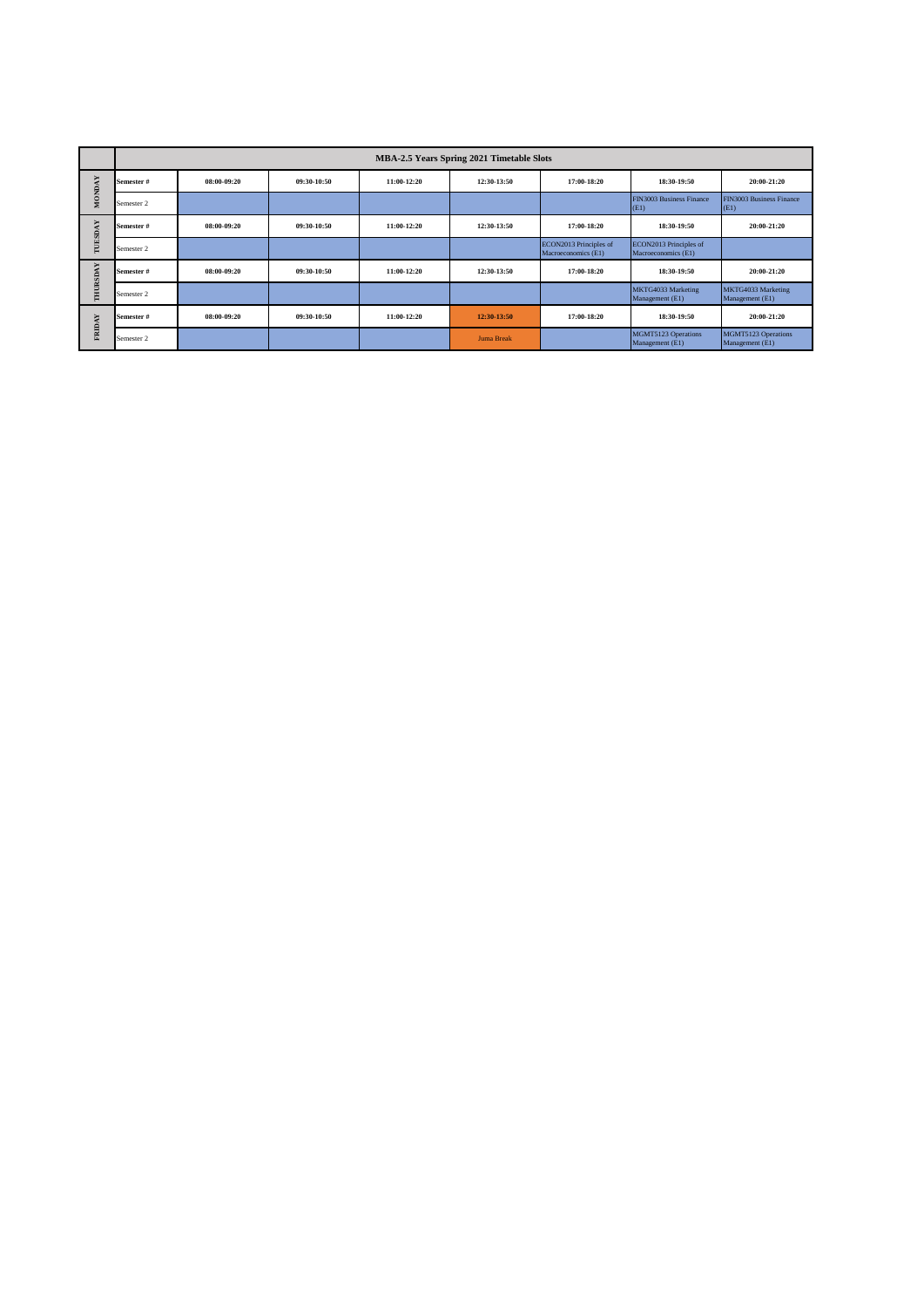|               |            |             |             |             | <b>MBA-2.5 Years Spring 2021 Timetable Slots</b> |                                               |                                               |                                        |
|---------------|------------|-------------|-------------|-------------|--------------------------------------------------|-----------------------------------------------|-----------------------------------------------|----------------------------------------|
|               | Semester#  | 08:00-09:20 | 09:30-10:50 | 11:00-12:20 | 12:30-13:50                                      | 17:00-18:20                                   | 18:30-19:50                                   | 20:00-21:20                            |
| <b>MONDAY</b> | Semester 2 |             |             |             |                                                  |                                               | <b>FIN3003 Business Finance</b><br>(E1)       | FIN3003 Business Finance<br>(E1)       |
| TUESDAY       | Semester#  | 08:00-09:20 | 09:30-10:50 | 11:00-12:20 | 12:30-13:50                                      | 17:00-18:20                                   | 18:30-19:50                                   | 20:00-21:20                            |
|               | Semester 2 |             |             |             |                                                  | ECON2013 Principles of<br>Macroeconomics (E1) | ECON2013 Principles of<br>Macroeconomics (E1) |                                        |
|               | Semester#  | 08:00-09:20 | 09:30-10:50 | 11:00-12:20 | 12:30-13:50                                      | 17:00-18:20                                   | 18:30-19:50                                   | 20:00-21:20                            |
| THURSDAY      | Semester 2 |             |             |             |                                                  |                                               | MKTG4033 Marketing<br>Management (E1)         | MKTG4033 Marketing<br>Management (E1)  |
| ¥             | Semester#  | 08:00-09:20 | 09:30-10:50 | 11:00-12:20 | 12:30-13:50                                      | 17:00-18:20                                   | 18:30-19:50                                   | 20:00-21:20                            |
| FRIDA'        | Semester 2 |             |             |             | <b>Juma Break</b>                                |                                               | MGMT5123 Operations<br>Management (E1)        | MGMT5123 Operations<br>Management (E1) |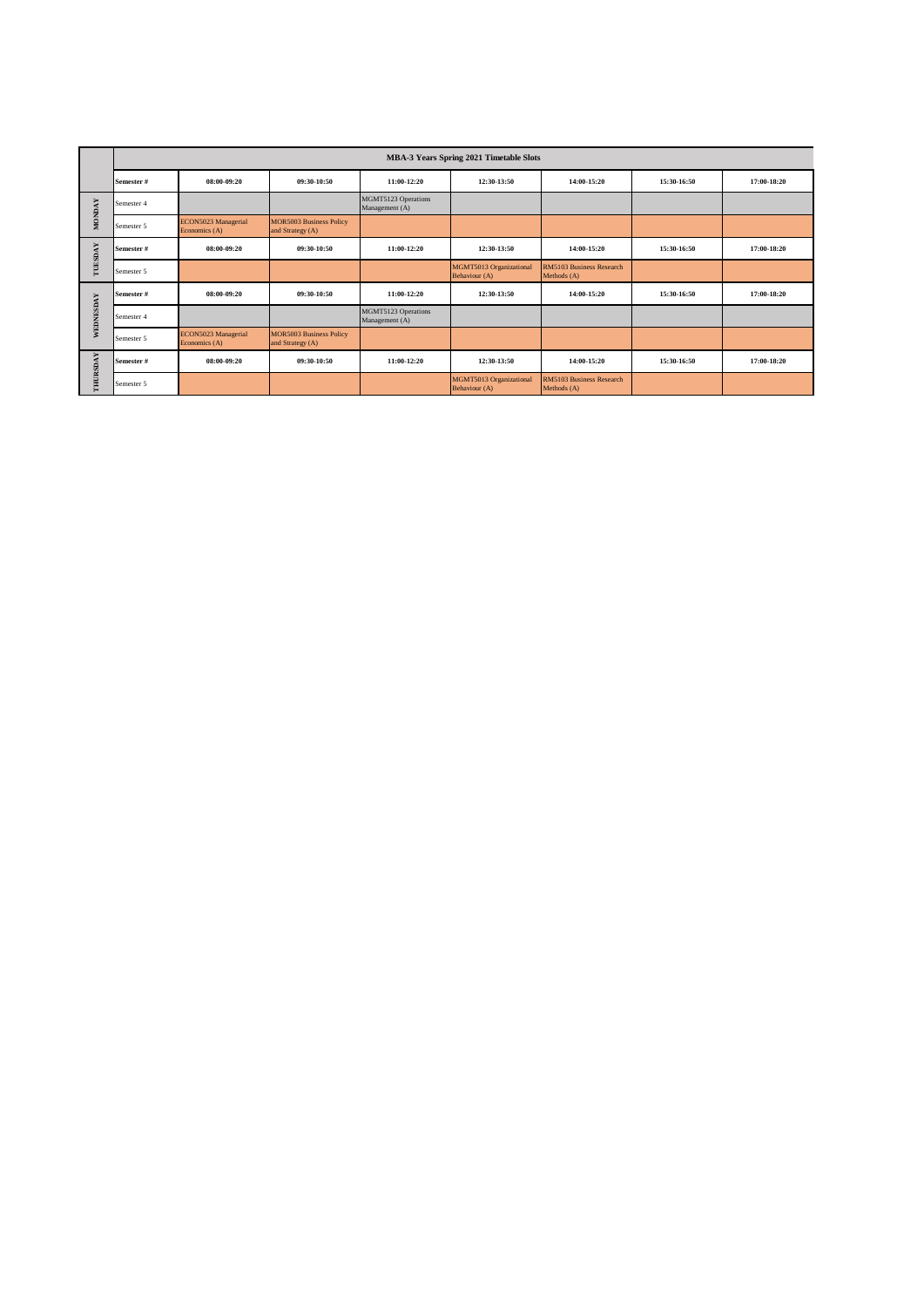|               |            |                                      |                                                    |                                       | MBA-3 Years Spring 2021 Timetable Slots  |                                                |             |             |
|---------------|------------|--------------------------------------|----------------------------------------------------|---------------------------------------|------------------------------------------|------------------------------------------------|-------------|-------------|
|               | Semester # | 08:00-09:20                          | 09:30-10:50                                        | 11:00-12:20                           | 12:30-13:50                              | 14:00-15:20                                    | 15:30-16:50 | 17:00-18:20 |
| <b>MONDAY</b> | Semester 4 |                                      |                                                    | MGMT5123 Operations<br>Management (A) |                                          |                                                |             |             |
|               | Semester 5 | ECON5023 Managerial<br>Economics (A) | <b>MOR5003 Business Policy</b><br>and Strategy (A) |                                       |                                          |                                                |             |             |
| TUESDAY       | Semester # | 08:00-09:20                          | 09:30-10:50                                        | 11:00-12:20                           | 12:30-13:50                              | 14:00-15:20                                    | 15:30-16:50 | 17:00-18:20 |
|               | Semester 5 |                                      |                                                    |                                       | MGMT5013 Organizational<br>Behaviour (A) | <b>RM5103 Business Research</b><br>Methods (A) |             |             |
|               | Semester # | 08:00-09:20                          | 09:30-10:50                                        | 11:00-12:20                           | 12:30-13:50                              | 14:00-15:20                                    | 15:30-16:50 | 17:00-18:20 |
| WEDNESDAY     | Semester 4 |                                      |                                                    | MGMT5123 Operations<br>Management (A) |                                          |                                                |             |             |
|               | Semester 5 | ECON5023 Managerial<br>Economics (A) | <b>MOR5003 Business Policy</b><br>and Strategy (A) |                                       |                                          |                                                |             |             |
| THURSDAY      | Semester # | 08:00-09:20                          | 09:30-10:50                                        | 11:00-12:20                           | 12:30-13:50                              | $14:00-15:20$                                  | 15:30-16:50 | 17:00-18:20 |
|               | Semester 5 |                                      |                                                    |                                       | MGMT5013 Organizational<br>Behaviour (A) | RM5103 Business Research<br>Methods (A)        |             |             |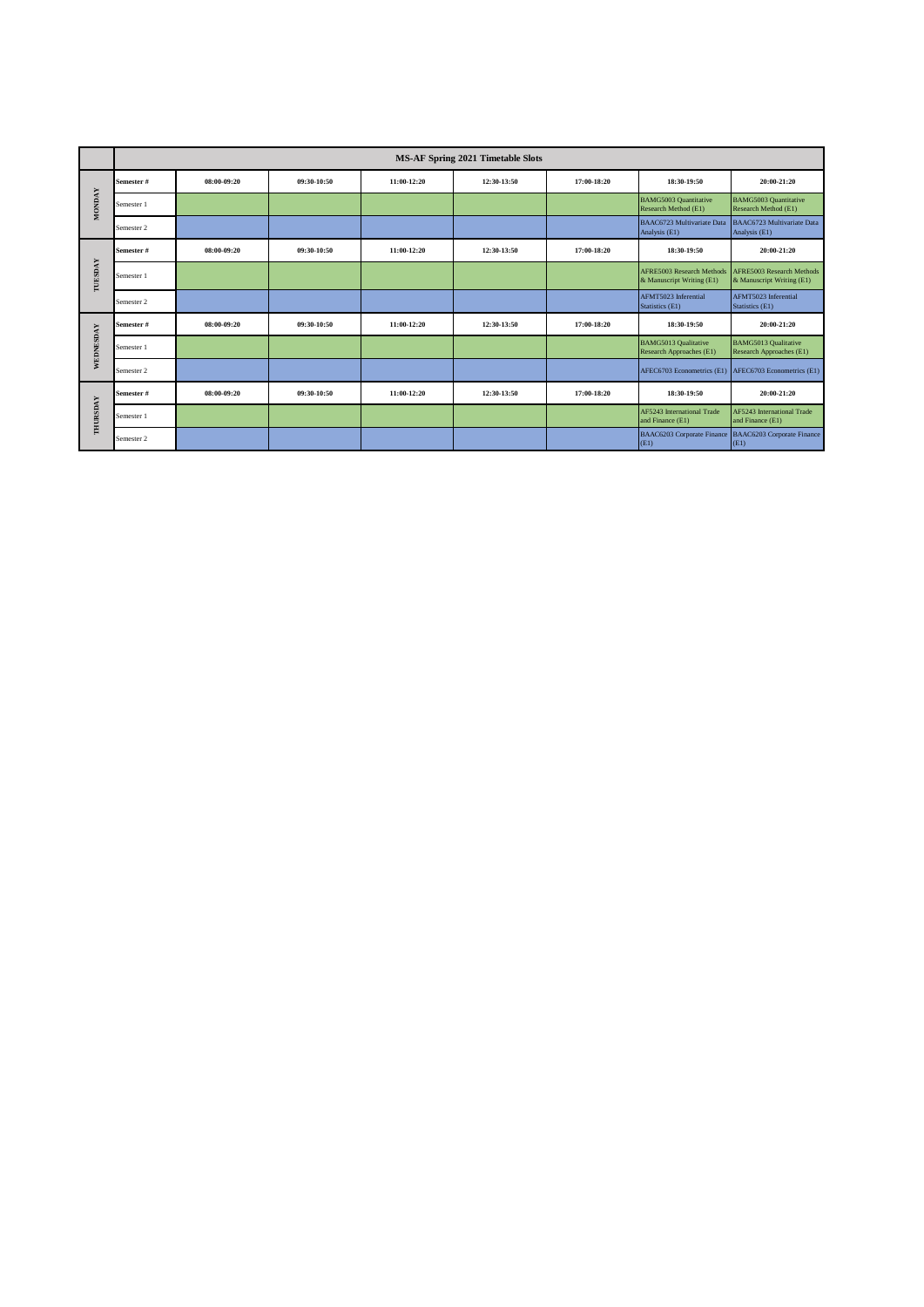|               | <b>MS-AF Spring 2021 Timetable Slots</b> |             |             |             |             |             |                                                               |                                                               |
|---------------|------------------------------------------|-------------|-------------|-------------|-------------|-------------|---------------------------------------------------------------|---------------------------------------------------------------|
| <b>MONDAY</b> | Semester #                               | 08:00-09:20 | 09:30-10:50 | 11:00-12:20 | 12:30-13:50 | 17:00-18:20 | 18:30-19:50                                                   | 20:00-21:20                                                   |
|               | Semester 1                               |             |             |             |             |             | <b>BAMG5003 Quantitative</b><br>Research Method (E1)          | <b>BAMG5003 Quantitative</b><br>Research Method (E1)          |
|               | Semester 2                               |             |             |             |             |             | BAAC6723 Multivariate Data<br>Analysis (E1)                   | BAAC6723 Multivariate Data<br>Analysis (E1)                   |
| TUESDAY       | Semester #                               | 08:00-09:20 | 09:30-10:50 | 11:00-12:20 | 12:30-13:50 | 17:00-18:20 | 18:30-19:50                                                   | 20:00-21:20                                                   |
|               | Semester 1                               |             |             |             |             |             | <b>AFRE5003 Research Methods</b><br>& Manuscript Writing (E1) | <b>AFRE5003 Research Methods</b><br>& Manuscript Writing (E1) |
|               | Semester 2                               |             |             |             |             |             | AFMT5023 Inferential<br>Statistics (E1)                       | AFMT5023 Inferential<br>Statistics (E1)                       |
| WEDNESDAY     | Semester #                               | 08:00-09:20 | 09:30-10:50 | 11:00-12:20 | 12:30-13:50 | 17:00-18:20 | 18:30-19:50                                                   | 20:00-21:20                                                   |
|               | Semester 1                               |             |             |             |             |             | <b>BAMG5013 Qualitative</b><br>Research Approaches (E1)       | <b>BAMG5013 Qualitative</b><br>Research Approaches (E1)       |
|               | Semester 2                               |             |             |             |             |             |                                                               | AFEC6703 Econometrics (E1) AFEC6703 Econometrics (E1)         |
| THURSDAY      | Semester #                               | 08:00-09:20 | 09:30-10:50 | 11:00-12:20 | 12:30-13:50 | 17:00-18:20 | 18:30-19:50                                                   | 20:00-21:20                                                   |
|               | Semester 1                               |             |             |             |             |             | AF5243 International Trade<br>and Finance (E1)                | AF5243 International Trade<br>and Finance (E1)                |
|               | Semester 2                               |             |             |             |             |             | (E1)                                                          | BAAC6203 Corporate Finance BAAC6203 Corporate Finance<br>(E1) |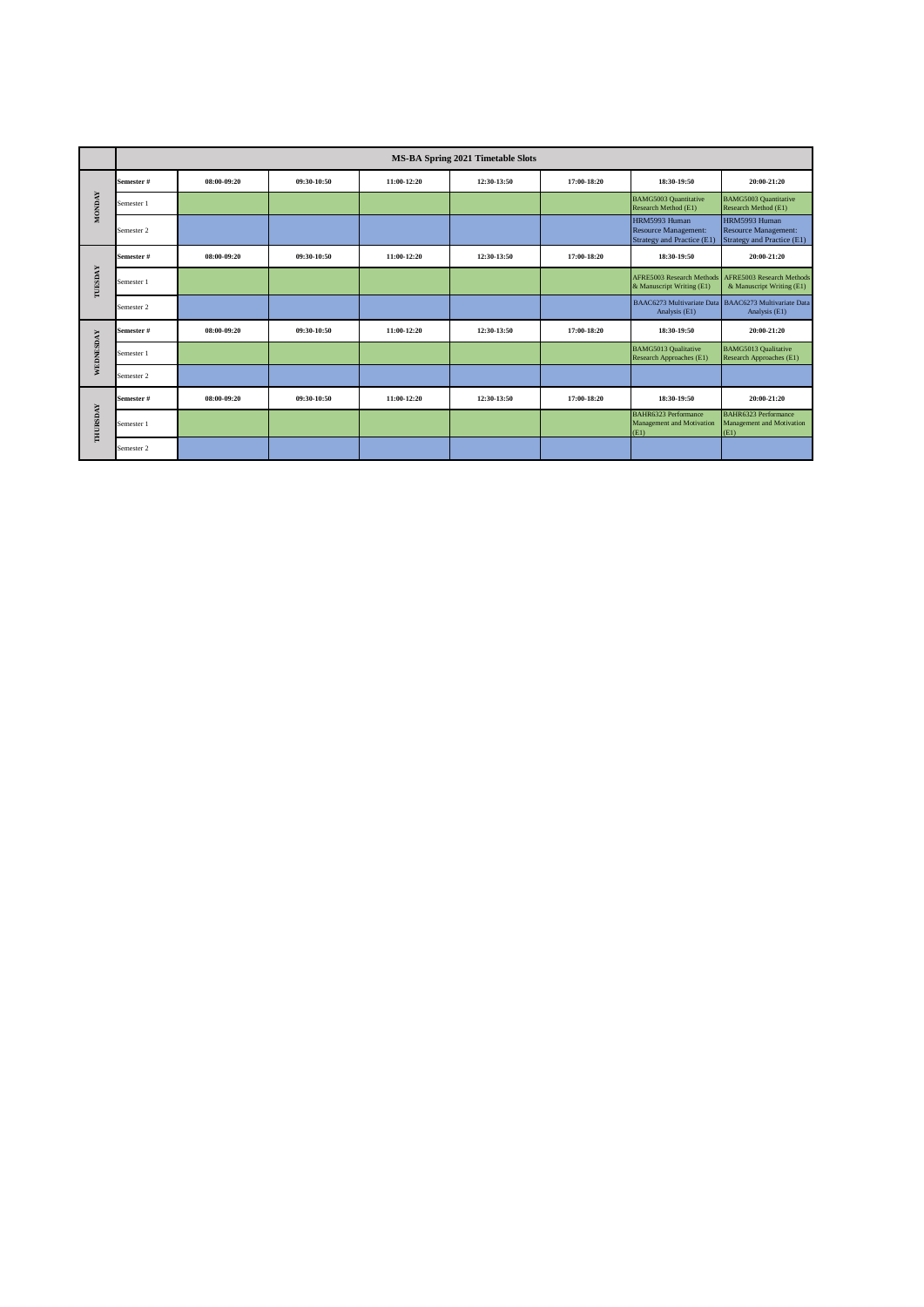|               | <b>MS-BA Spring 2021 Timetable Slots</b> |             |             |             |             |             |                                                                     |                                                                        |
|---------------|------------------------------------------|-------------|-------------|-------------|-------------|-------------|---------------------------------------------------------------------|------------------------------------------------------------------------|
| <b>MONDAY</b> | Semester #                               | 08:00-09:20 | 09:30-10:50 | 11:00-12:20 | 12:30-13:50 | 17:00-18:20 | 18:30-19:50                                                         | 20:00-21:20                                                            |
|               | Semester 1                               |             |             |             |             |             | <b>BAMG5003 Quantitative</b><br>Research Method (E1)                | <b>BAMG5003 Quantitative</b><br>Research Method (E1)                   |
|               | Semester 2                               |             |             |             |             |             | HRM5993 Human<br>Resource Management:<br>Strategy and Practice (E1) | HRM5993 Human<br>Resource Management:<br>Strategy and Practice (E1)    |
| TUESDAY       | Semester #                               | 08:00-09:20 | 09:30-10:50 | 11:00-12:20 | 12:30-13:50 | 17:00-18:20 | 18:30-19:50                                                         | 20:00-21:20                                                            |
|               | Semester 1                               |             |             |             |             |             | <b>AFRE5003 Research Methods</b><br>& Manuscript Writing (E1)       | AFRE5003 Research Methods<br>& Manuscript Writing (E1)                 |
|               | Semester 2                               |             |             |             |             |             | Analysis (E1)                                                       | BAAC6273 Multivariate Data BAAC6273 Multivariate Data<br>Analysis (E1) |
|               | Semester #                               | 08:00-09:20 | 09:30-10:50 | 11:00-12:20 | 12:30-13:50 | 17:00-18:20 | 18:30-19:50                                                         | 20:00-21:20                                                            |
| WEDNESDAY     | Semester 1                               |             |             |             |             |             | <b>BAMG5013 Qualitative</b><br>Research Approaches (E1)             | <b>BAMG5013 Qualitative</b><br>Research Approaches (E1)                |
|               | Semester 2                               |             |             |             |             |             |                                                                     |                                                                        |
| THURSDAY      | Semester #                               | 08:00-09:20 | 09:30-10:50 | 11:00-12:20 | 12:30-13:50 | 17:00-18:20 | 18:30-19:50                                                         | 20:00-21:20                                                            |
|               | Semester 1                               |             |             |             |             |             | BAHR6323 Performance<br>Management and Motivation<br>(E1)           | BAHR6323 Performance<br>Management and Motivation<br>(E1)              |
|               | Semester 2                               |             |             |             |             |             |                                                                     |                                                                        |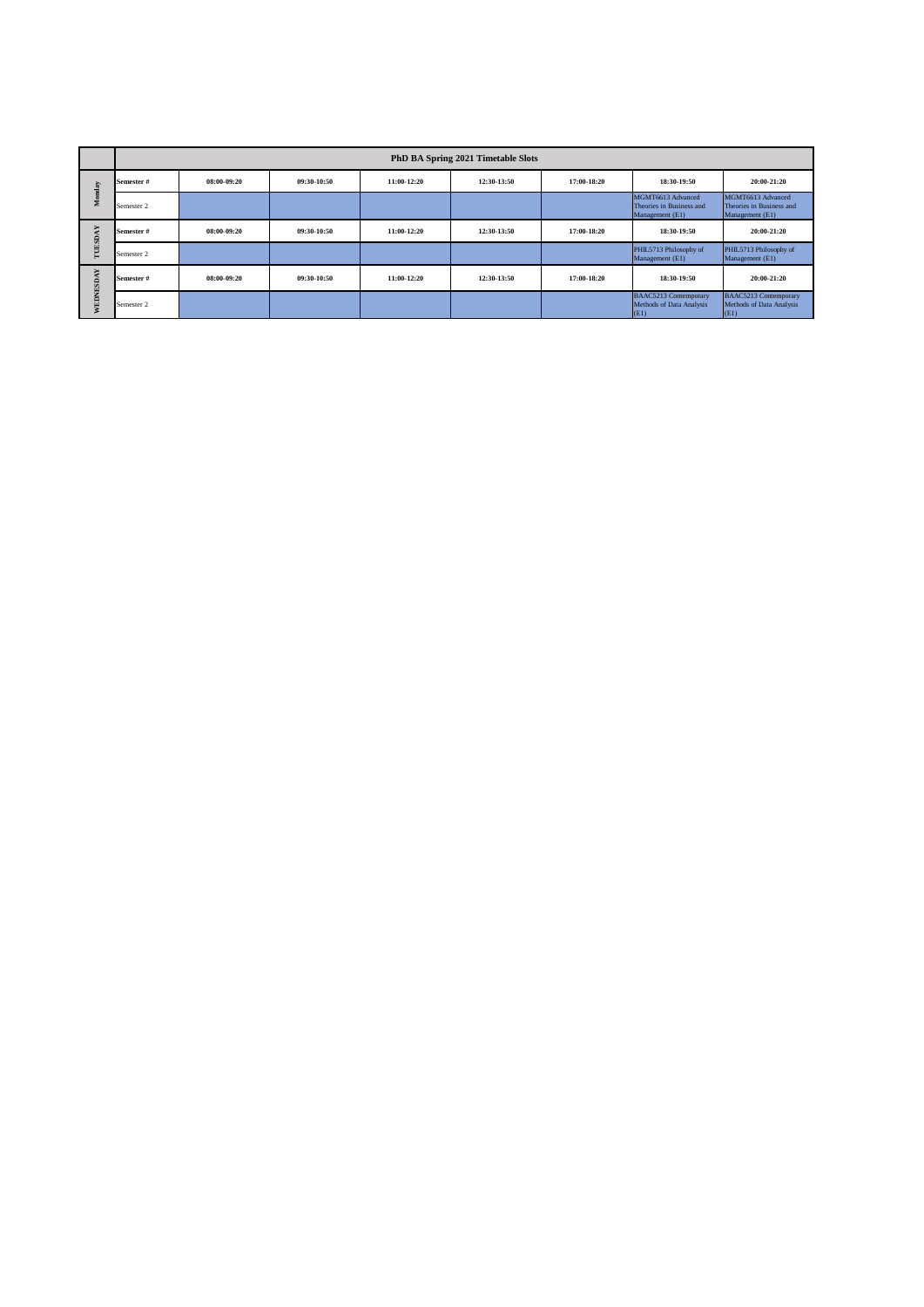|               | PhD BA Spring 2021 Timetable Slots |             |             |             |             |             |                                                                  |                                                                  |
|---------------|------------------------------------|-------------|-------------|-------------|-------------|-------------|------------------------------------------------------------------|------------------------------------------------------------------|
| Monday        | Semester #                         | 08:00-09:20 | 09:30-10:50 | 11:00-12:20 | 12:30-13:50 | 17:00-18:20 | 18:30-19:50                                                      | 20:00-21:20                                                      |
|               | Semester 2                         |             |             |             |             |             | MGMT6613 Advanced<br>Theories in Business and<br>Management (E1) | MGMT6613 Advanced<br>Theories in Business and<br>Management (E1) |
| TUESD         | Semester #                         | 08:00-09:20 | 09:30-10:50 | 11:00-12:20 | 12:30-13:50 | 17:00-18:20 | 18:30-19:50                                                      | 20:00-21:20                                                      |
|               | Semester 2                         |             |             |             |             |             | PHIL5713 Philosophy of<br>Management (E1)                        | PHIL5713 Philosophy of<br>Management (E1)                        |
| ⊶<br>WEDNESDA | Semester #                         | 08:00-09:20 | 09:30-10:50 | 11:00-12:20 | 12:30-13:50 | 17:00-18:20 | 18:30-19:50                                                      | 20:00-21:20                                                      |
|               | Semester 2                         |             |             |             |             |             | <b>BAAC5213 Contemporary</b><br>Methods of Data Analysis<br>(E1) | <b>BAAC5213 Contemporary</b><br>Methods of Data Analysis<br>(E1) |